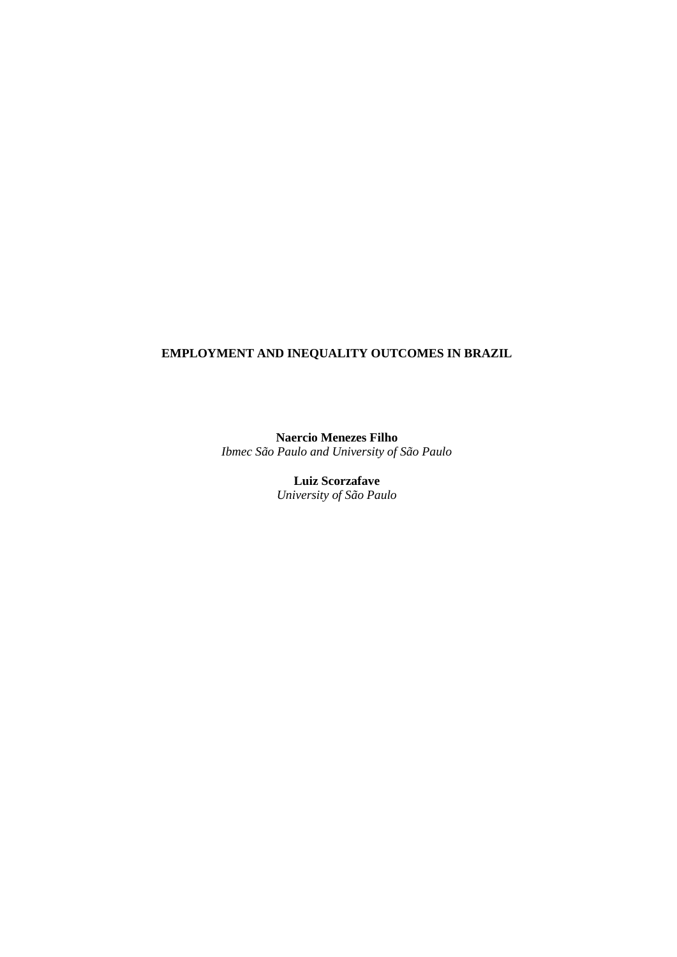# **EMPLOYMENT AND INEQUALITY OUTCOMES IN BRAZIL**

**Naercio Menezes Filho** *Ibmec São Paulo and University of São Paulo*

> **Luiz Scorzafave** *University of São Paulo*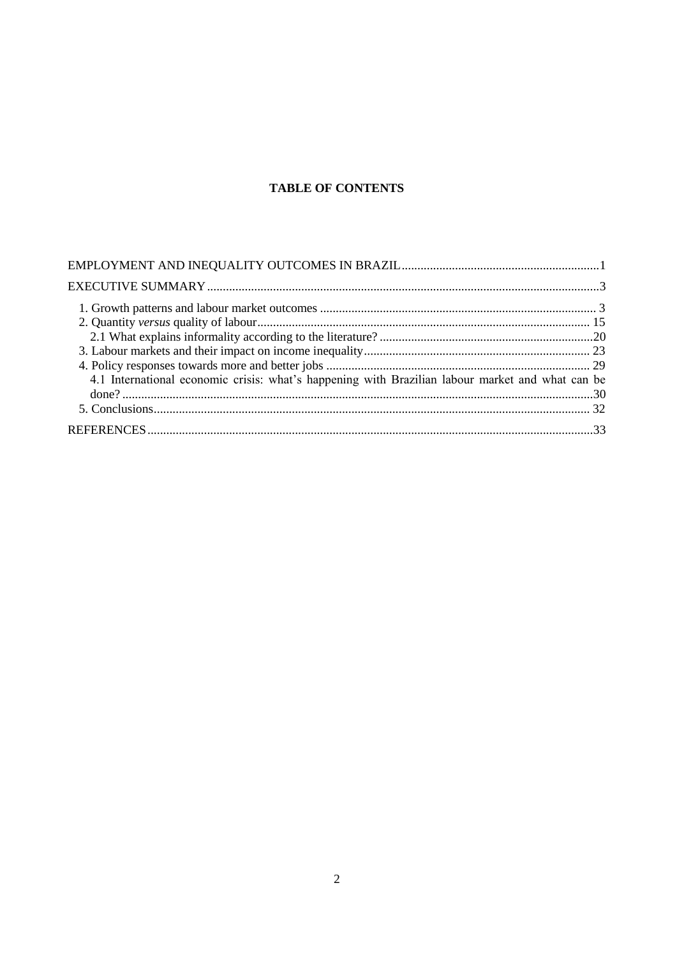# **TABLE OF CONTENTS**

| 4.1 International economic crisis: what's happening with Brazilian labour market and what can be |  |
|--------------------------------------------------------------------------------------------------|--|
|                                                                                                  |  |
|                                                                                                  |  |
|                                                                                                  |  |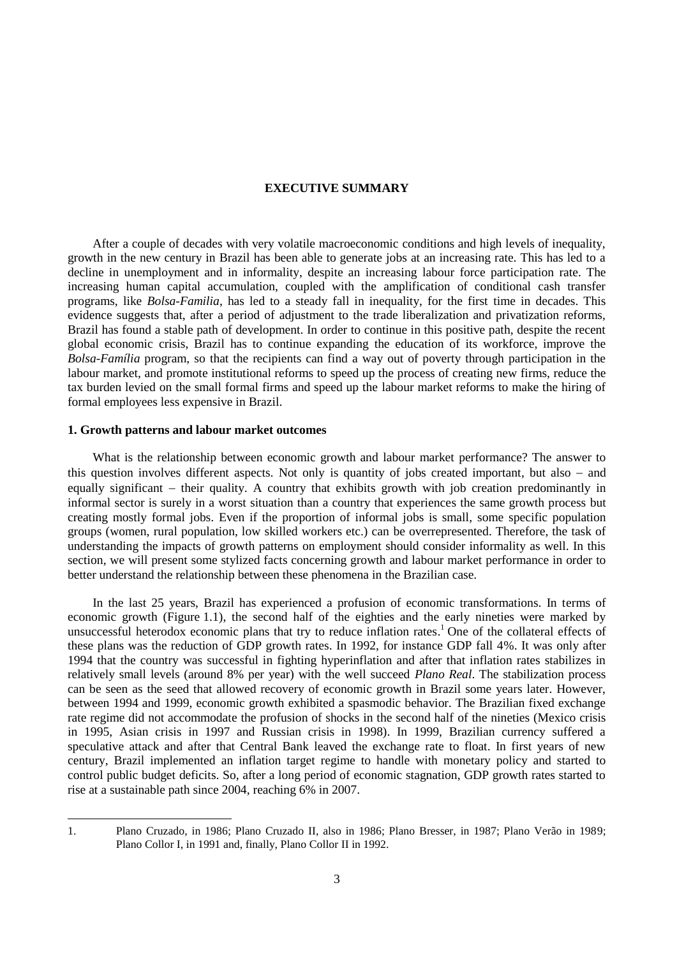## **EXECUTIVE SUMMARY**

After a couple of decades with very volatile macroeconomic conditions and high levels of inequality, growth in the new century in Brazil has been able to generate jobs at an increasing rate. This has led to a decline in unemployment and in informality, despite an increasing labour force participation rate. The increasing human capital accumulation, coupled with the amplification of conditional cash transfer programs, like *Bolsa-Familia*, has led to a steady fall in inequality, for the first time in decades. This evidence suggests that, after a period of adjustment to the trade liberalization and privatization reforms, Brazil has found a stable path of development. In order to continue in this positive path, despite the recent global economic crisis, Brazil has to continue expanding the education of its workforce, improve the *Bolsa-Família* program, so that the recipients can find a way out of poverty through participation in the labour market, and promote institutional reforms to speed up the process of creating new firms, reduce the tax burden levied on the small formal firms and speed up the labour market reforms to make the hiring of formal employees less expensive in Brazil.

## **1. Growth patterns and labour market outcomes**

What is the relationship between economic growth and labour market performance? The answer to this question involves different aspects. Not only is quantity of jobs created important, but also  $-$  and equally significant – their quality. A country that exhibits growth with job creation predominantly in informal sector is surely in a worst situation than a country that experiences the same growth process but creating mostly formal jobs. Even if the proportion of informal jobs is small, some specific population groups (women, rural population, low skilled workers etc.) can be overrepresented. Therefore, the task of understanding the impacts of growth patterns on employment should consider informality as well. In this section, we will present some stylized facts concerning growth and labour market performance in order to better understand the relationship between these phenomena in the Brazilian case.

In the last 25 years, Brazil has experienced a profusion of economic transformations. In terms of economic growth (Figure 1.1), the second half of the eighties and the early nineties were marked by unsuccessful heterodox economic plans that try to reduce inflation rates.<sup>1</sup> One of the collateral effects of these plans was the reduction of GDP growth rates. In 1992, for instance GDP fall 4%. It was only after 1994 that the country was successful in fighting hyperinflation and after that inflation rates stabilizes in relatively small levels (around 8% per year) with the well succeed *Plano Real*. The stabilization process can be seen as the seed that allowed recovery of economic growth in Brazil some years later. However, between 1994 and 1999, economic growth exhibited a spasmodic behavior. The Brazilian fixed exchange rate regime did not accommodate the profusion of shocks in the second half of the nineties (Mexico crisis in 1995, Asian crisis in 1997 and Russian crisis in 1998). In 1999, Brazilian currency suffered a speculative attack and after that Central Bank leaved the exchange rate to float. In first years of new century, Brazil implemented an inflation target regime to handle with monetary policy and started to control public budget deficits. So, after a long period of economic stagnation, GDP growth rates started to rise at a sustainable path since 2004, reaching 6% in 2007.

l

<sup>1.</sup> Plano Cruzado, in 1986; Plano Cruzado II, also in 1986; Plano Bresser, in 1987; Plano Verão in 1989; Plano Collor I, in 1991 and, finally, Plano Collor II in 1992.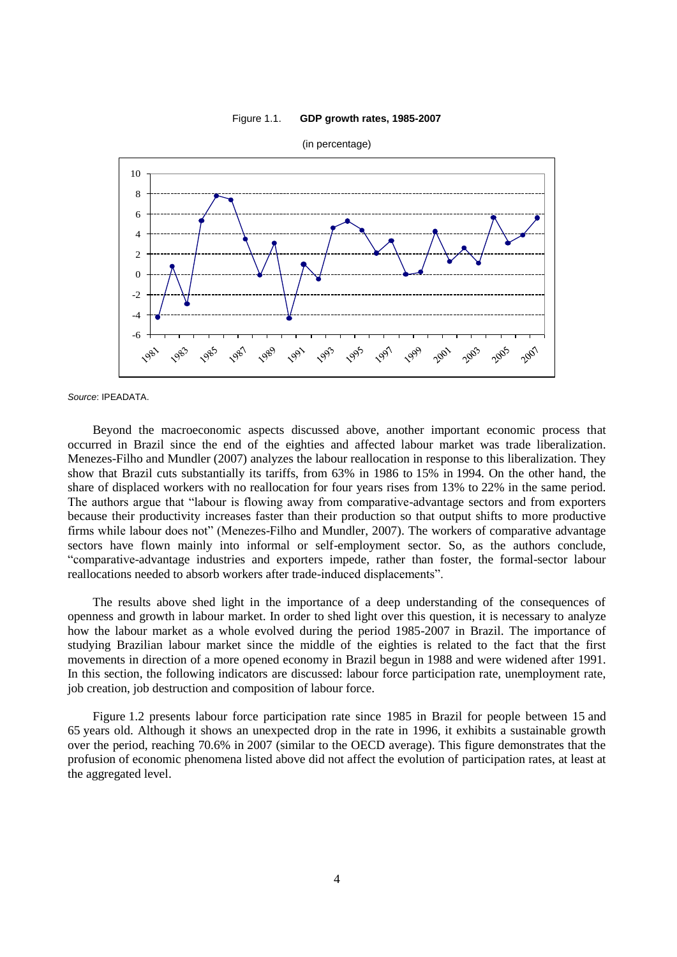#### Figure 1.1. **GDP growth rates, 1985-2007**



*Source*: IPEADATA.

Beyond the macroeconomic aspects discussed above, another important economic process that occurred in Brazil since the end of the eighties and affected labour market was trade liberalization. Menezes-Filho and Mundler (2007) analyzes the labour reallocation in response to this liberalization. They show that Brazil cuts substantially its tariffs, from 63% in 1986 to 15% in 1994. On the other hand, the share of displaced workers with no reallocation for four years rises from 13% to 22% in the same period. The authors argue that "labour is flowing away from comparative-advantage sectors and from exporters because their productivity increases faster than their production so that output shifts to more productive firms while labour does not" (Menezes-Filho and Mundler, 2007). The workers of comparative advantage sectors have flown mainly into informal or self-employment sector. So, as the authors conclude, "comparative-advantage industries and exporters impede, rather than foster, the formal-sector labour reallocations needed to absorb workers after trade-induced displacements".

The results above shed light in the importance of a deep understanding of the consequences of openness and growth in labour market. In order to shed light over this question, it is necessary to analyze how the labour market as a whole evolved during the period 1985-2007 in Brazil. The importance of studying Brazilian labour market since the middle of the eighties is related to the fact that the first movements in direction of a more opened economy in Brazil begun in 1988 and were widened after 1991. In this section, the following indicators are discussed: labour force participation rate, unemployment rate, job creation, job destruction and composition of labour force.

Figure 1.2 presents labour force participation rate since 1985 in Brazil for people between 15 and 65 years old. Although it shows an unexpected drop in the rate in 1996, it exhibits a sustainable growth over the period, reaching 70.6% in 2007 (similar to the OECD average). This figure demonstrates that the profusion of economic phenomena listed above did not affect the evolution of participation rates, at least at the aggregated level.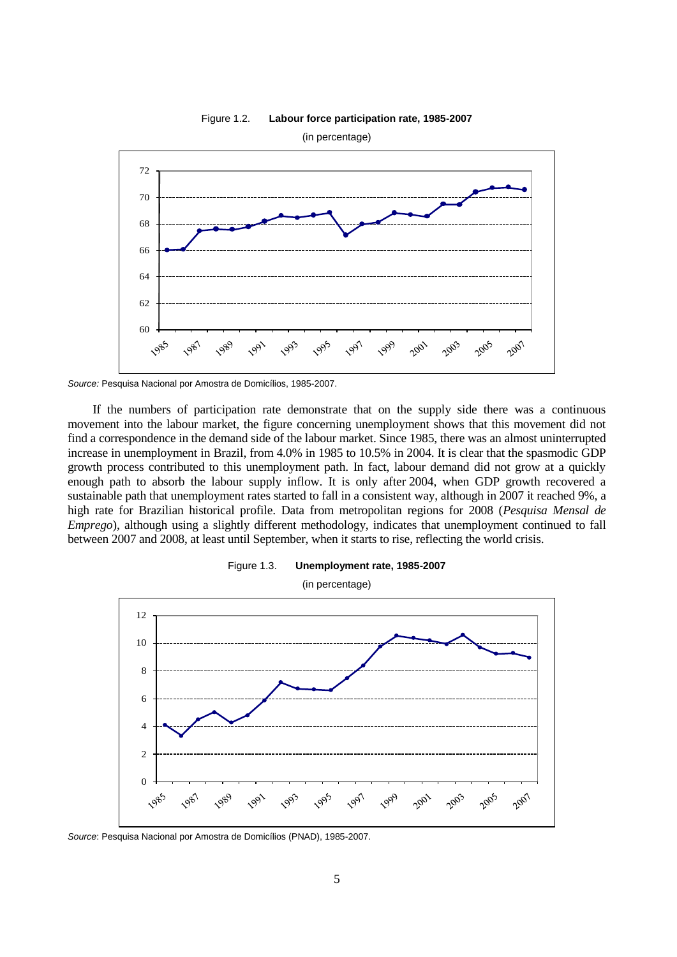

Figure 1.2. **Labour force participation rate, 1985-2007**

If the numbers of participation rate demonstrate that on the supply side there was a continuous movement into the labour market, the figure concerning unemployment shows that this movement did not find a correspondence in the demand side of the labour market. Since 1985, there was an almost uninterrupted increase in unemployment in Brazil, from 4.0% in 1985 to 10.5% in 2004. It is clear that the spasmodic GDP growth process contributed to this unemployment path. In fact, labour demand did not grow at a quickly enough path to absorb the labour supply inflow. It is only after 2004, when GDP growth recovered a sustainable path that unemployment rates started to fall in a consistent way, although in 2007 it reached 9%, a high rate for Brazilian historical profile. Data from metropolitan regions for 2008 (*Pesquisa Mensal de Emprego*), although using a slightly different methodology, indicates that unemployment continued to fall between 2007 and 2008, at least until September, when it starts to rise, reflecting the world crisis.





*Source*: Pesquisa Nacional por Amostra de Domicílios (PNAD), 1985-2007.

*Source:* Pesquisa Nacional por Amostra de Domicílios, 1985-2007.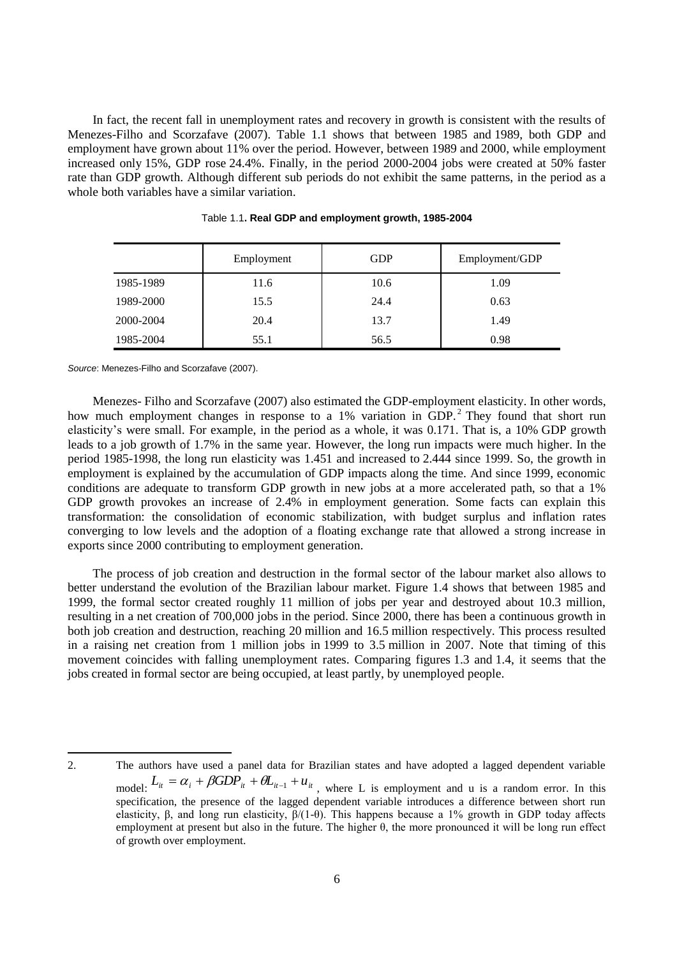In fact, the recent fall in unemployment rates and recovery in growth is consistent with the results of Menezes-Filho and Scorzafave (2007). Table 1.1 shows that between 1985 and 1989, both GDP and employment have grown about 11% over the period. However, between 1989 and 2000, while employment increased only 15%, GDP rose 24.4%. Finally, in the period 2000-2004 jobs were created at 50% faster rate than GDP growth. Although different sub periods do not exhibit the same patterns, in the period as a whole both variables have a similar variation.

|           | Employment | <b>GDP</b> | Employment/GDP |
|-----------|------------|------------|----------------|
| 1985-1989 | 11.6       | 10.6       | 1.09           |
| 1989-2000 | 15.5       | 24.4       | 0.63           |
| 2000-2004 | 20.4       | 13.7       | 1.49           |
| 1985-2004 | 55.1       | 56.5       | 0.98           |

Table 1.1**. Real GDP and employment growth, 1985-2004**

*Source*: Menezes-Filho and Scorzafave (2007).

Menezes- Filho and Scorzafave (2007) also estimated the GDP-employment elasticity. In other words, how much employment changes in response to a 1% variation in GDP.<sup>2</sup> They found that short run elasticity's were small. For example, in the period as a whole, it was 0.171. That is, a 10% GDP growth leads to a job growth of 1.7% in the same year. However, the long run impacts were much higher. In the period 1985-1998, the long run elasticity was 1.451 and increased to 2.444 since 1999. So, the growth in employment is explained by the accumulation of GDP impacts along the time. And since 1999, economic conditions are adequate to transform GDP growth in new jobs at a more accelerated path, so that a 1% GDP growth provokes an increase of 2.4% in employment generation. Some facts can explain this transformation: the consolidation of economic stabilization, with budget surplus and inflation rates converging to low levels and the adoption of a floating exchange rate that allowed a strong increase in exports since 2000 contributing to employment generation.

The process of job creation and destruction in the formal sector of the labour market also allows to better understand the evolution of the Brazilian labour market. Figure 1.4 shows that between 1985 and 1999, the formal sector created roughly 11 million of jobs per year and destroyed about 10.3 million, resulting in a net creation of 700,000 jobs in the period. Since 2000, there has been a continuous growth in both job creation and destruction, reaching 20 million and 16.5 million respectively. This process resulted in a raising net creation from 1 million jobs in 1999 to 3.5 million in 2007. Note that timing of this movement coincides with falling unemployment rates. Comparing figures 1.3 and 1.4, it seems that the jobs created in formal sector are being occupied, at least partly, by unemployed people.

l 2. The authors have used a panel data for Brazilian states and have adopted a lagged dependent variable model:  $L_{it} = \alpha_i + \beta GDP_{it} + \theta L_{it-1} + u_{it}$ , where L is employment and u is a random error. In this specification, the presence of the lagged dependent variable introduces a difference between short run elasticity, β, and long run elasticity, β/(1-θ). This happens because a 1% growth in GDP today affects employment at present but also in the future. The higher θ, the more pronounced it will be long run effect of growth over employment.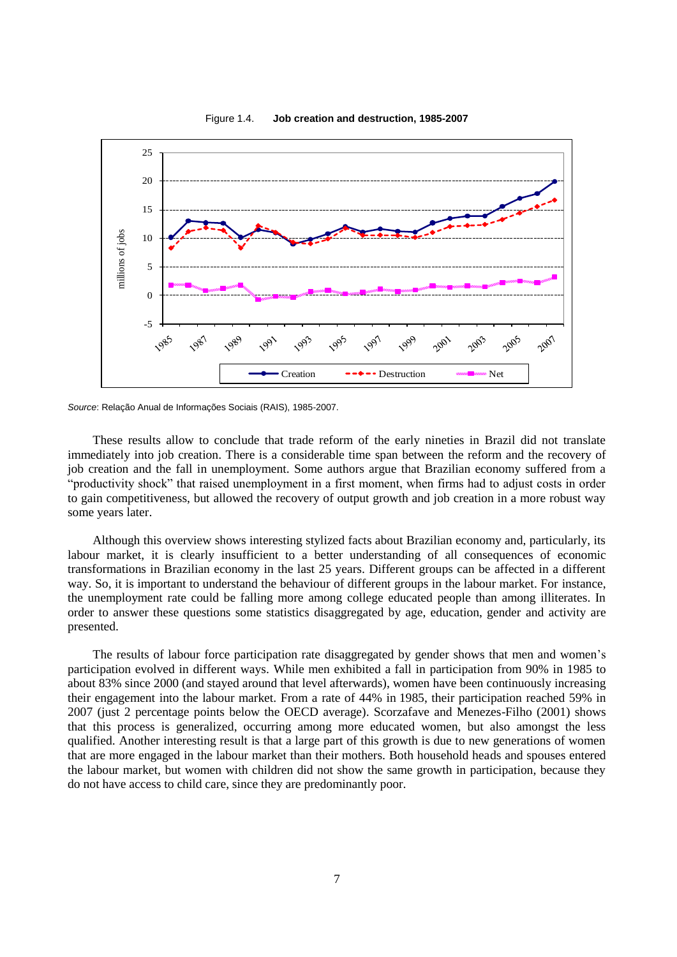

Figure 1.4. **Job creation and destruction, 1985-2007**

*Source*: Relação Anual de Informações Sociais (RAIS), 1985-2007.

These results allow to conclude that trade reform of the early nineties in Brazil did not translate immediately into job creation. There is a considerable time span between the reform and the recovery of job creation and the fall in unemployment. Some authors argue that Brazilian economy suffered from a "productivity shock" that raised unemployment in a first moment, when firms had to adjust costs in order to gain competitiveness, but allowed the recovery of output growth and job creation in a more robust way some years later.

Although this overview shows interesting stylized facts about Brazilian economy and, particularly, its labour market, it is clearly insufficient to a better understanding of all consequences of economic transformations in Brazilian economy in the last 25 years. Different groups can be affected in a different way. So, it is important to understand the behaviour of different groups in the labour market. For instance, the unemployment rate could be falling more among college educated people than among illiterates. In order to answer these questions some statistics disaggregated by age, education, gender and activity are presented.

The results of labour force participation rate disaggregated by gender shows that men and women's participation evolved in different ways. While men exhibited a fall in participation from 90% in 1985 to about 83% since 2000 (and stayed around that level afterwards), women have been continuously increasing their engagement into the labour market. From a rate of 44% in 1985, their participation reached 59% in 2007 (just 2 percentage points below the OECD average). Scorzafave and Menezes-Filho (2001) shows that this process is generalized, occurring among more educated women, but also amongst the less qualified. Another interesting result is that a large part of this growth is due to new generations of women that are more engaged in the labour market than their mothers. Both household heads and spouses entered the labour market, but women with children did not show the same growth in participation, because they do not have access to child care, since they are predominantly poor.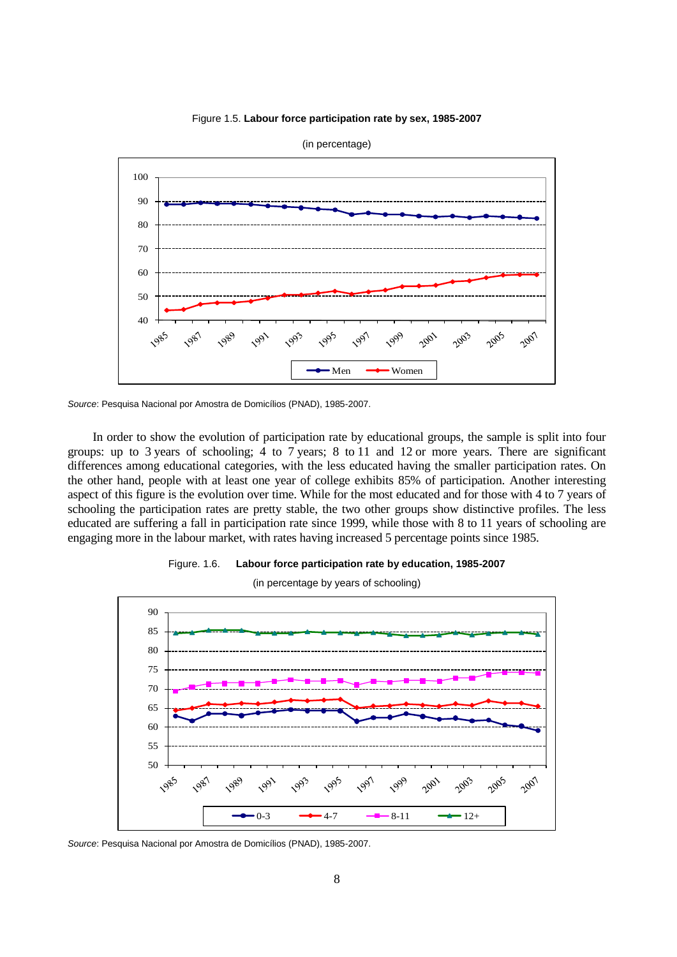



*Source*: Pesquisa Nacional por Amostra de Domicílios (PNAD), 1985-2007.

In order to show the evolution of participation rate by educational groups, the sample is split into four groups: up to 3 years of schooling; 4 to 7 years; 8 to 11 and 12 or more years. There are significant differences among educational categories, with the less educated having the smaller participation rates. On the other hand, people with at least one year of college exhibits 85% of participation. Another interesting aspect of this figure is the evolution over time. While for the most educated and for those with 4 to 7 years of schooling the participation rates are pretty stable, the two other groups show distinctive profiles. The less educated are suffering a fall in participation rate since 1999, while those with 8 to 11 years of schooling are engaging more in the labour market, with rates having increased 5 percentage points since 1985.





(in percentage by years of schooling)

*Source*: Pesquisa Nacional por Amostra de Domicílios (PNAD), 1985-2007.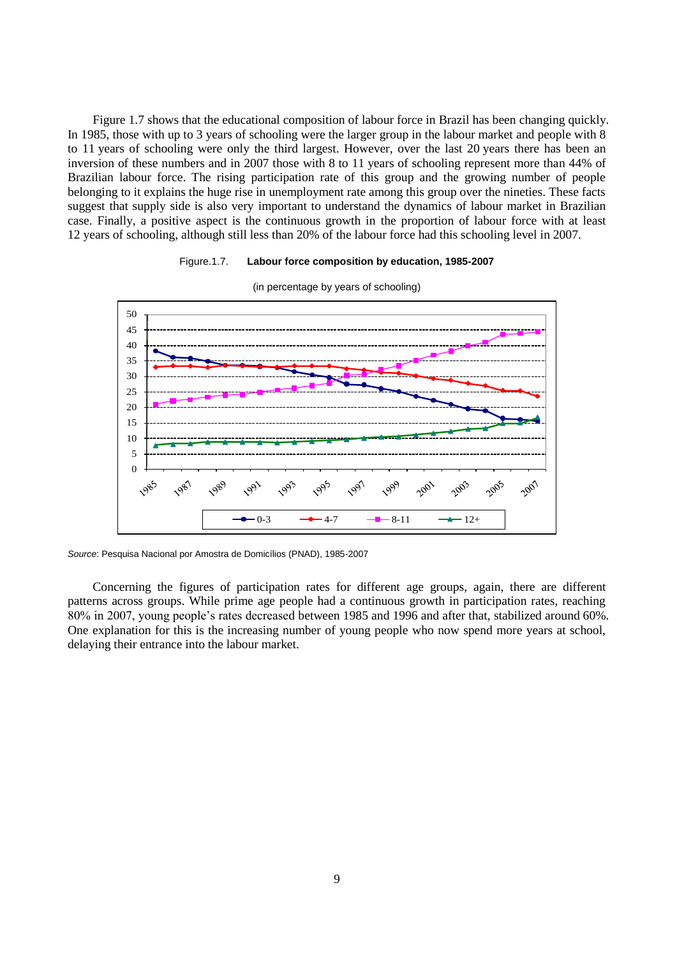Figure 1.7 shows that the educational composition of labour force in Brazil has been changing quickly. In 1985, those with up to 3 years of schooling were the larger group in the labour market and people with 8 to 11 years of schooling were only the third largest. However, over the last 20 years there has been an inversion of these numbers and in 2007 those with 8 to 11 years of schooling represent more than 44% of Brazilian labour force. The rising participation rate of this group and the growing number of people belonging to it explains the huge rise in unemployment rate among this group over the nineties. These facts suggest that supply side is also very important to understand the dynamics of labour market in Brazilian case. Finally, a positive aspect is the continuous growth in the proportion of labour force with at least 12 years of schooling, although still less than 20% of the labour force had this schooling level in 2007.

## Figure.1.7. **Labour force composition by education, 1985-2007**



(in percentage by years of schooling)

*Source*: Pesquisa Nacional por Amostra de Domicílios (PNAD), 1985-2007

Concerning the figures of participation rates for different age groups, again, there are different patterns across groups. While prime age people had a continuous growth in participation rates, reaching 80% in 2007, young people's rates decreased between 1985 and 1996 and after that, stabilized around 60%. One explanation for this is the increasing number of young people who now spend more years at school, delaying their entrance into the labour market.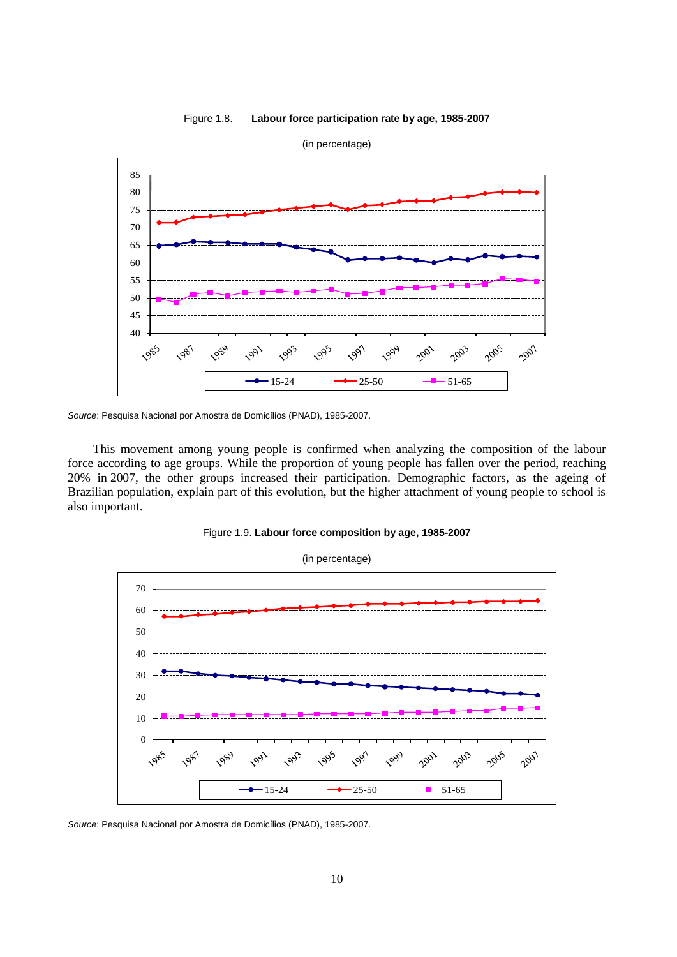



*Source*: Pesquisa Nacional por Amostra de Domicílios (PNAD), 1985-2007.

This movement among young people is confirmed when analyzing the composition of the labour force according to age groups. While the proportion of young people has fallen over the period, reaching 20% in 2007, the other groups increased their participation. Demographic factors, as the ageing of Brazilian population, explain part of this evolution, but the higher attachment of young people to school is also important.



(in percentage)



*Source*: Pesquisa Nacional por Amostra de Domicílios (PNAD), 1985-2007.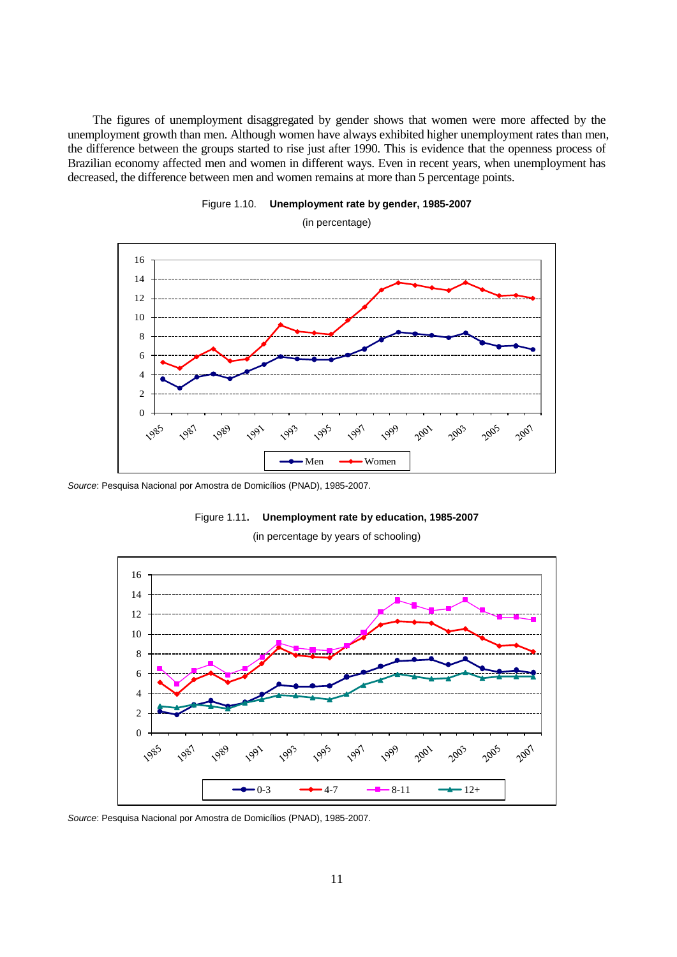The figures of unemployment disaggregated by gender shows that women were more affected by the unemployment growth than men. Although women have always exhibited higher unemployment rates than men, the difference between the groups started to rise just after 1990. This is evidence that the openness process of Brazilian economy affected men and women in different ways. Even in recent years, when unemployment has decreased, the difference between men and women remains at more than 5 percentage points.





(in percentage)

*Source*: Pesquisa Nacional por Amostra de Domicílios (PNAD), 1985-2007.



(in percentage by years of schooling)



*Source*: Pesquisa Nacional por Amostra de Domicílios (PNAD), 1985-2007.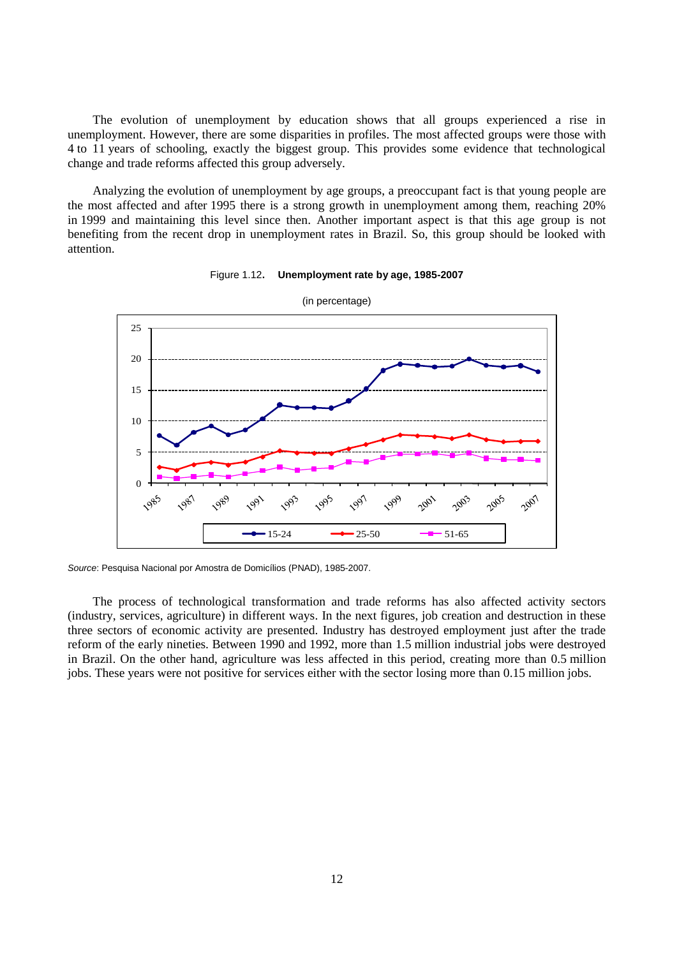The evolution of unemployment by education shows that all groups experienced a rise in unemployment. However, there are some disparities in profiles. The most affected groups were those with 4 to 11 years of schooling, exactly the biggest group. This provides some evidence that technological change and trade reforms affected this group adversely.

Analyzing the evolution of unemployment by age groups, a preoccupant fact is that young people are the most affected and after 1995 there is a strong growth in unemployment among them, reaching 20% in 1999 and maintaining this level since then. Another important aspect is that this age group is not benefiting from the recent drop in unemployment rates in Brazil. So, this group should be looked with attention.





*Source*: Pesquisa Nacional por Amostra de Domicílios (PNAD), 1985-2007.

The process of technological transformation and trade reforms has also affected activity sectors (industry, services, agriculture) in different ways. In the next figures, job creation and destruction in these three sectors of economic activity are presented. Industry has destroyed employment just after the trade reform of the early nineties. Between 1990 and 1992, more than 1.5 million industrial jobs were destroyed in Brazil. On the other hand, agriculture was less affected in this period, creating more than 0.5 million jobs. These years were not positive for services either with the sector losing more than 0.15 million jobs.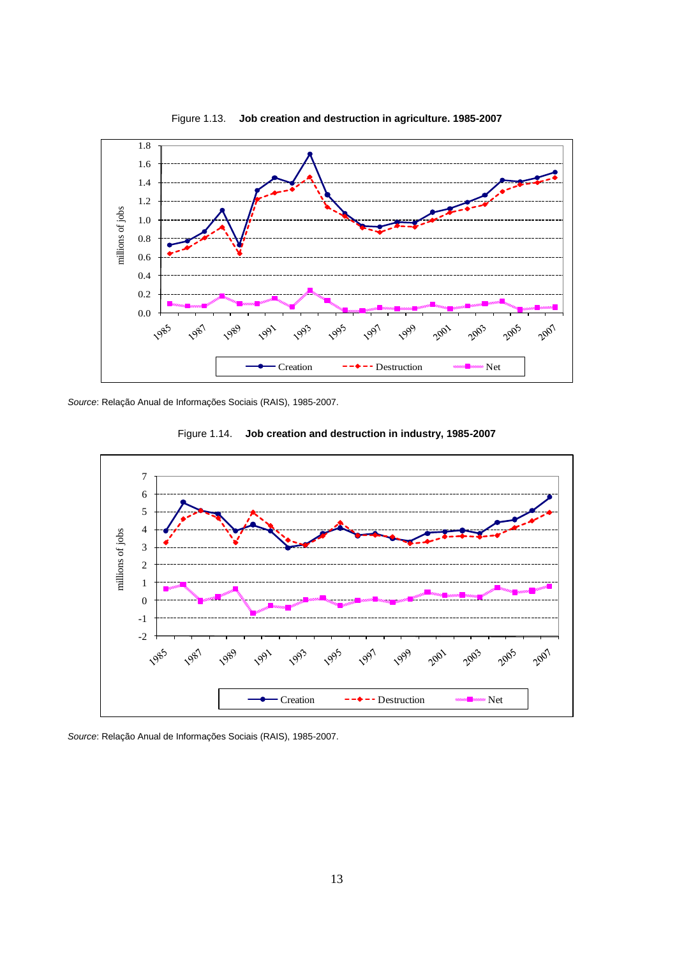

Figure 1.13. **Job creation and destruction in agriculture. 1985-2007**

*Source*: Relação Anual de Informações Sociais (RAIS), 1985-2007.





*Source*: Relação Anual de Informações Sociais (RAIS), 1985-2007.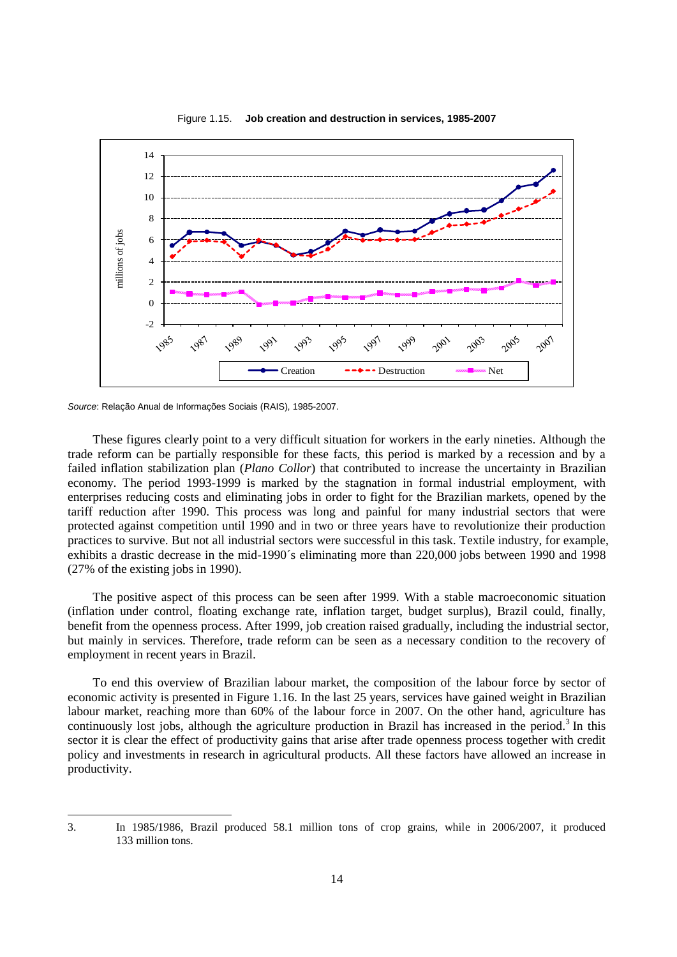

Figure 1.15. **Job creation and destruction in services, 1985-2007**

l

These figures clearly point to a very difficult situation for workers in the early nineties. Although the trade reform can be partially responsible for these facts, this period is marked by a recession and by a failed inflation stabilization plan (*Plano Collor*) that contributed to increase the uncertainty in Brazilian economy. The period 1993-1999 is marked by the stagnation in formal industrial employment, with enterprises reducing costs and eliminating jobs in order to fight for the Brazilian markets, opened by the tariff reduction after 1990. This process was long and painful for many industrial sectors that were protected against competition until 1990 and in two or three years have to revolutionize their production practices to survive. But not all industrial sectors were successful in this task. Textile industry, for example, exhibits a drastic decrease in the mid-1990´s eliminating more than 220,000 jobs between 1990 and 1998 (27% of the existing jobs in 1990).

The positive aspect of this process can be seen after 1999. With a stable macroeconomic situation (inflation under control, floating exchange rate, inflation target, budget surplus), Brazil could, finally, benefit from the openness process. After 1999, job creation raised gradually, including the industrial sector, but mainly in services. Therefore, trade reform can be seen as a necessary condition to the recovery of employment in recent years in Brazil.

To end this overview of Brazilian labour market, the composition of the labour force by sector of economic activity is presented in Figure 1.16. In the last 25 years, services have gained weight in Brazilian labour market, reaching more than 60% of the labour force in 2007. On the other hand, agriculture has continuously lost jobs, although the agriculture production in Brazil has increased in the period.<sup>3</sup> In this sector it is clear the effect of productivity gains that arise after trade openness process together with credit policy and investments in research in agricultural products. All these factors have allowed an increase in productivity.

*Source*: Relação Anual de Informações Sociais (RAIS), 1985-2007.

<sup>3.</sup> In 1985/1986, Brazil produced 58.1 million tons of crop grains, while in 2006/2007, it produced 133 million tons.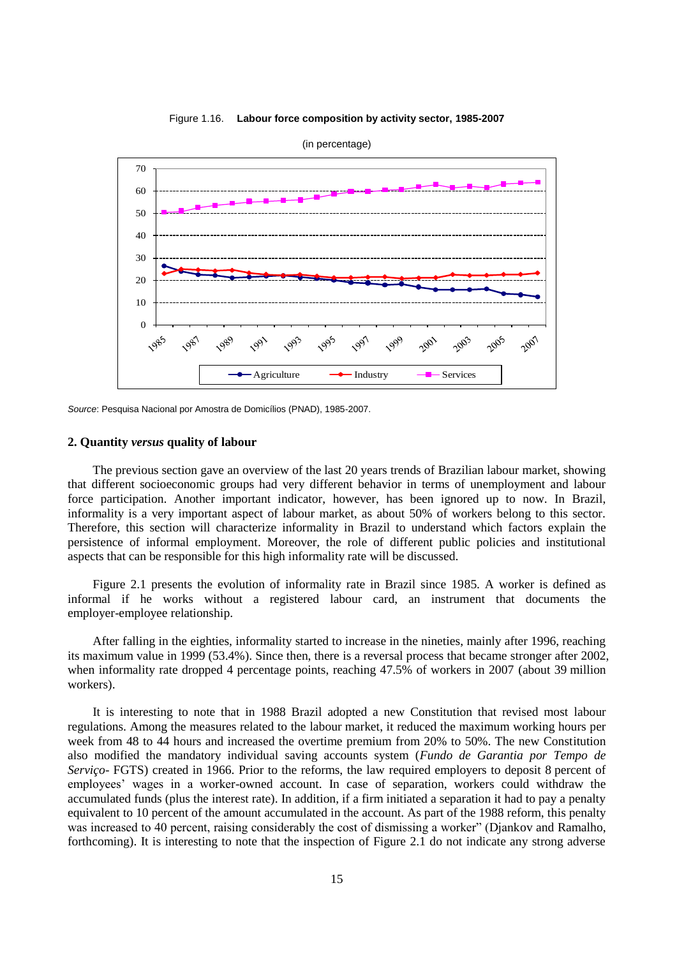

Figure 1.16. **Labour force composition by activity sector, 1985-2007**

*Source*: Pesquisa Nacional por Amostra de Domicílios (PNAD), 1985-2007.

#### **2. Quantity** *versus* **quality of labour**

The previous section gave an overview of the last 20 years trends of Brazilian labour market, showing that different socioeconomic groups had very different behavior in terms of unemployment and labour force participation. Another important indicator, however, has been ignored up to now. In Brazil, informality is a very important aspect of labour market, as about 50% of workers belong to this sector. Therefore, this section will characterize informality in Brazil to understand which factors explain the persistence of informal employment. Moreover, the role of different public policies and institutional aspects that can be responsible for this high informality rate will be discussed.

Figure 2.1 presents the evolution of informality rate in Brazil since 1985. A worker is defined as informal if he works without a registered labour card, an instrument that documents the employer-employee relationship.

After falling in the eighties, informality started to increase in the nineties, mainly after 1996, reaching its maximum value in 1999 (53.4%). Since then, there is a reversal process that became stronger after 2002, when informality rate dropped 4 percentage points, reaching 47.5% of workers in 2007 (about 39 million workers).

It is interesting to note that in 1988 Brazil adopted a new Constitution that revised most labour regulations. Among the measures related to the labour market, it reduced the maximum working hours per week from 48 to 44 hours and increased the overtime premium from 20% to 50%. The new Constitution also modified the mandatory individual saving accounts system (*Fundo de Garantia por Tempo de Serviço*- FGTS) created in 1966. Prior to the reforms, the law required employers to deposit 8 percent of employees' wages in a worker-owned account. In case of separation, workers could withdraw the accumulated funds (plus the interest rate). In addition, if a firm initiated a separation it had to pay a penalty equivalent to 10 percent of the amount accumulated in the account. As part of the 1988 reform, this penalty was increased to 40 percent, raising considerably the cost of dismissing a worker" (Djankov and Ramalho, forthcoming). It is interesting to note that the inspection of Figure 2.1 do not indicate any strong adverse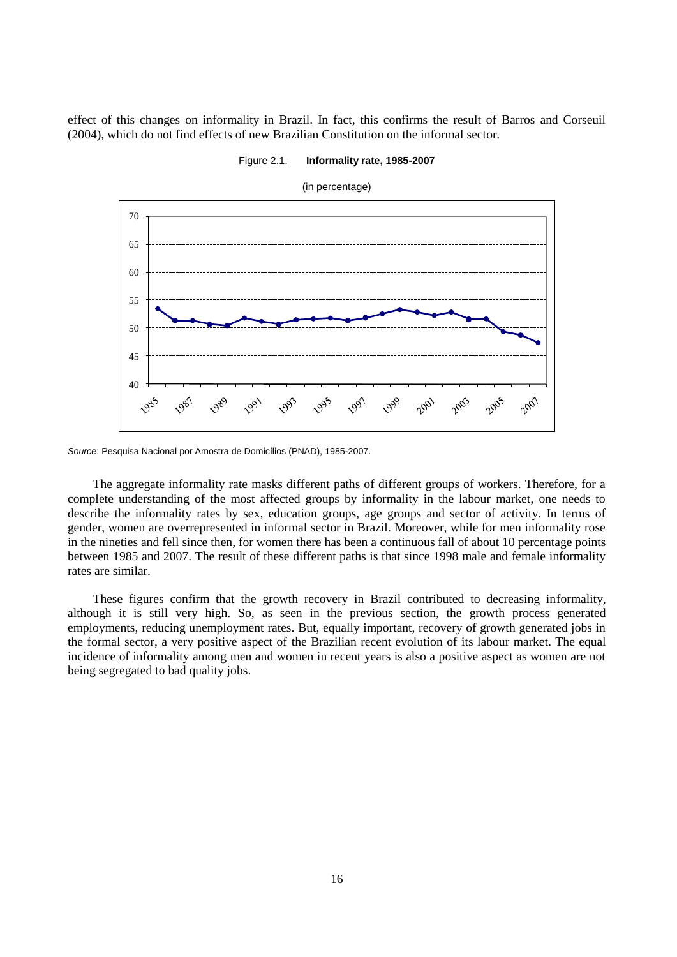effect of this changes on informality in Brazil. In fact, this confirms the result of Barros and Corseuil (2004), which do not find effects of new Brazilian Constitution on the informal sector.



Figure 2.1. **Informality rate, 1985-2007**

The aggregate informality rate masks different paths of different groups of workers. Therefore, for a complete understanding of the most affected groups by informality in the labour market, one needs to describe the informality rates by sex, education groups, age groups and sector of activity. In terms of gender, women are overrepresented in informal sector in Brazil. Moreover, while for men informality rose in the nineties and fell since then, for women there has been a continuous fall of about 10 percentage points between 1985 and 2007. The result of these different paths is that since 1998 male and female informality rates are similar.

These figures confirm that the growth recovery in Brazil contributed to decreasing informality, although it is still very high. So, as seen in the previous section, the growth process generated employments, reducing unemployment rates. But, equally important, recovery of growth generated jobs in the formal sector, a very positive aspect of the Brazilian recent evolution of its labour market. The equal incidence of informality among men and women in recent years is also a positive aspect as women are not being segregated to bad quality jobs.

*Source*: Pesquisa Nacional por Amostra de Domicílios (PNAD), 1985-2007.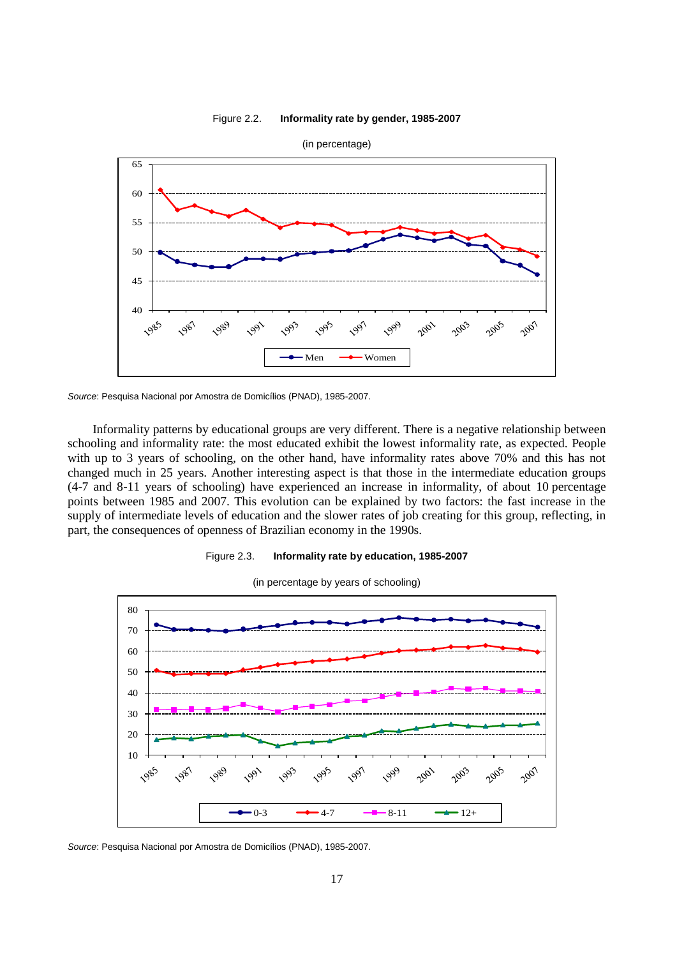



*Source*: Pesquisa Nacional por Amostra de Domicílios (PNAD), 1985-2007.

Informality patterns by educational groups are very different. There is a negative relationship between schooling and informality rate: the most educated exhibit the lowest informality rate, as expected. People with up to 3 years of schooling, on the other hand, have informality rates above 70% and this has not changed much in 25 years. Another interesting aspect is that those in the intermediate education groups (4-7 and 8-11 years of schooling) have experienced an increase in informality, of about 10 percentage points between 1985 and 2007. This evolution can be explained by two factors: the fast increase in the supply of intermediate levels of education and the slower rates of job creating for this group, reflecting, in part, the consequences of openness of Brazilian economy in the 1990s.





(in percentage by years of schooling)

*Source*: Pesquisa Nacional por Amostra de Domicílios (PNAD), 1985-2007.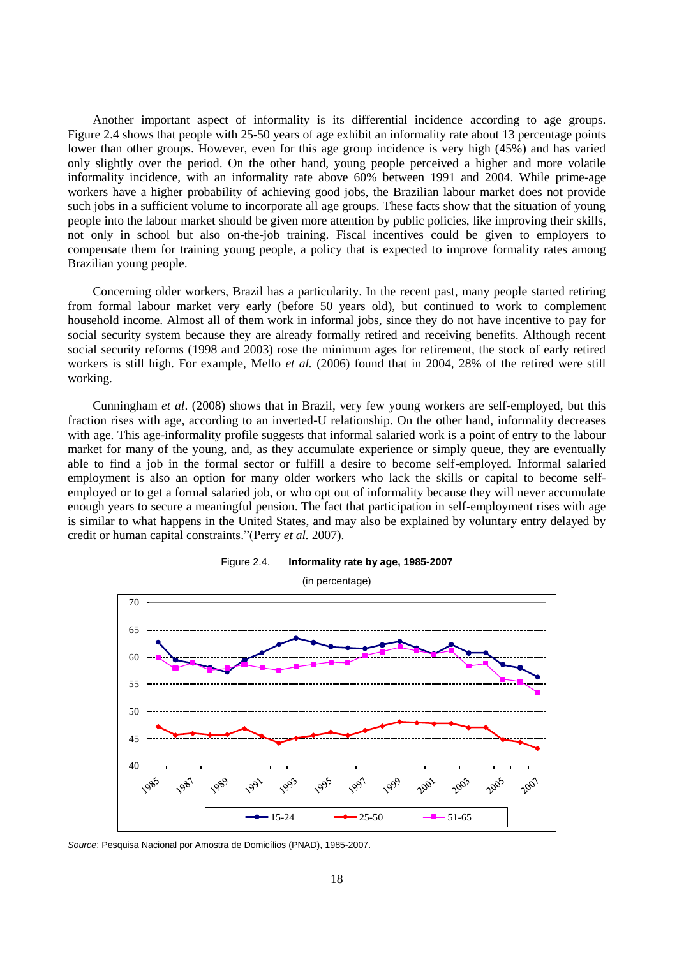Another important aspect of informality is its differential incidence according to age groups. Figure 2.4 shows that people with 25-50 years of age exhibit an informality rate about 13 percentage points lower than other groups. However, even for this age group incidence is very high (45%) and has varied only slightly over the period. On the other hand, young people perceived a higher and more volatile informality incidence, with an informality rate above 60% between 1991 and 2004. While prime-age workers have a higher probability of achieving good jobs, the Brazilian labour market does not provide such jobs in a sufficient volume to incorporate all age groups. These facts show that the situation of young people into the labour market should be given more attention by public policies, like improving their skills, not only in school but also on-the-job training. Fiscal incentives could be given to employers to compensate them for training young people, a policy that is expected to improve formality rates among Brazilian young people.

Concerning older workers, Brazil has a particularity. In the recent past, many people started retiring from formal labour market very early (before 50 years old), but continued to work to complement household income. Almost all of them work in informal jobs, since they do not have incentive to pay for social security system because they are already formally retired and receiving benefits. Although recent social security reforms (1998 and 2003) rose the minimum ages for retirement, the stock of early retired workers is still high. For example, Mello *et al.* (2006) found that in 2004, 28% of the retired were still working.

Cunningham *et al*. (2008) shows that in Brazil, very few young workers are self-employed, but this fraction rises with age, according to an inverted-U relationship. On the other hand, informality decreases with age. This age-informality profile suggests that informal salaried work is a point of entry to the labour market for many of the young, and, as they accumulate experience or simply queue, they are eventually able to find a job in the formal sector or fulfill a desire to become self-employed. Informal salaried employment is also an option for many older workers who lack the skills or capital to become selfemployed or to get a formal salaried job, or who opt out of informality because they will never accumulate enough years to secure a meaningful pension. The fact that participation in self-employment rises with age is similar to what happens in the United States, and may also be explained by voluntary entry delayed by credit or human capital constraints."(Perry *et al.* 2007).



Figure 2.4. **Informality rate by age, 1985-2007**

*Source*: Pesquisa Nacional por Amostra de Domicílios (PNAD), 1985-2007.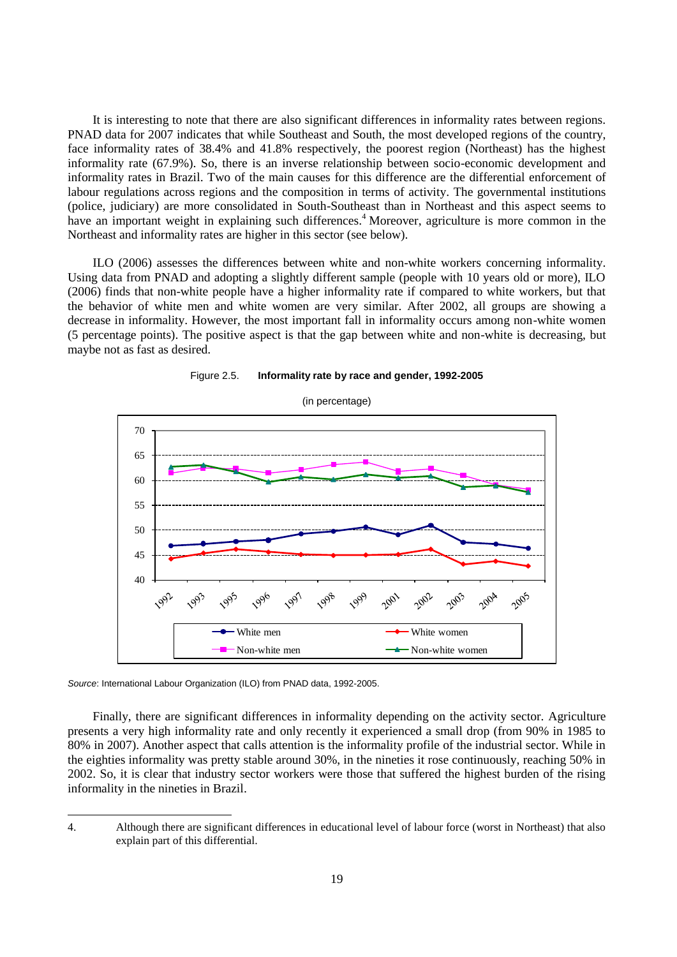It is interesting to note that there are also significant differences in informality rates between regions. PNAD data for 2007 indicates that while Southeast and South, the most developed regions of the country, face informality rates of 38.4% and 41.8% respectively, the poorest region (Northeast) has the highest informality rate (67.9%). So, there is an inverse relationship between socio-economic development and informality rates in Brazil. Two of the main causes for this difference are the differential enforcement of labour regulations across regions and the composition in terms of activity. The governmental institutions (police, judiciary) are more consolidated in South-Southeast than in Northeast and this aspect seems to have an important weight in explaining such differences.<sup>4</sup> Moreover, agriculture is more common in the Northeast and informality rates are higher in this sector (see below).

ILO (2006) assesses the differences between white and non-white workers concerning informality. Using data from PNAD and adopting a slightly different sample (people with 10 years old or more), ILO (2006) finds that non-white people have a higher informality rate if compared to white workers, but that the behavior of white men and white women are very similar. After 2002, all groups are showing a decrease in informality. However, the most important fall in informality occurs among non-white women (5 percentage points). The positive aspect is that the gap between white and non-white is decreasing, but maybe not as fast as desired.





*Source*: International Labour Organization (ILO) from PNAD data, 1992-2005.

l

Finally, there are significant differences in informality depending on the activity sector. Agriculture presents a very high informality rate and only recently it experienced a small drop (from 90% in 1985 to 80% in 2007). Another aspect that calls attention is the informality profile of the industrial sector. While in the eighties informality was pretty stable around 30%, in the nineties it rose continuously, reaching 50% in 2002. So, it is clear that industry sector workers were those that suffered the highest burden of the rising informality in the nineties in Brazil.

<sup>4.</sup> Although there are significant differences in educational level of labour force (worst in Northeast) that also explain part of this differential.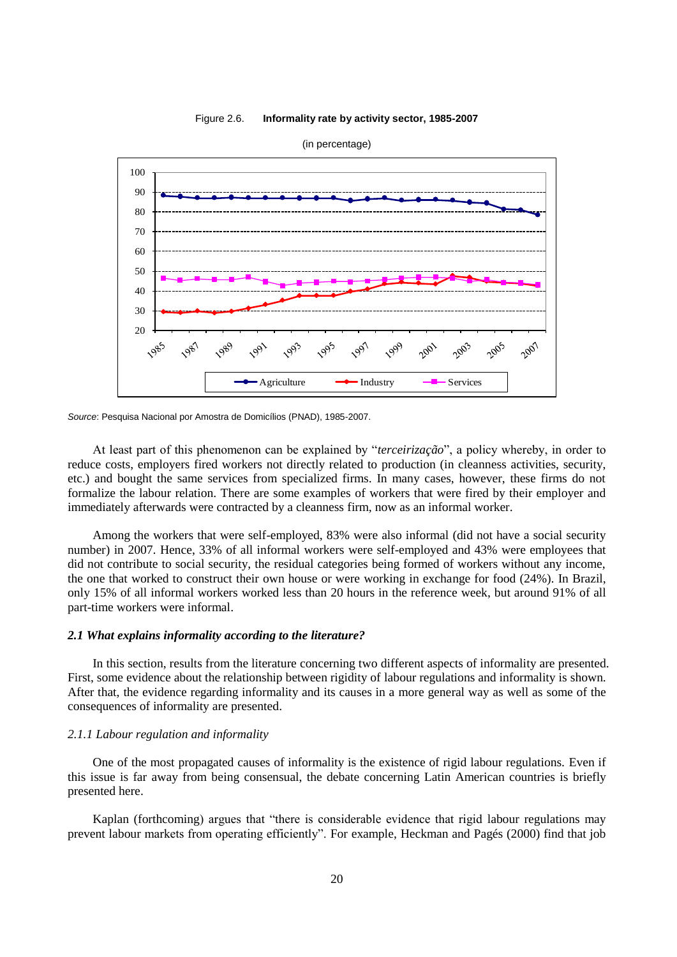





At least part of this phenomenon can be explained by "*terceirização*", a policy whereby, in order to reduce costs, employers fired workers not directly related to production (in cleanness activities, security, etc.) and bought the same services from specialized firms. In many cases, however, these firms do not formalize the labour relation. There are some examples of workers that were fired by their employer and immediately afterwards were contracted by a cleanness firm, now as an informal worker.

Among the workers that were self-employed, 83% were also informal (did not have a social security number) in 2007. Hence, 33% of all informal workers were self-employed and 43% were employees that did not contribute to social security, the residual categories being formed of workers without any income, the one that worked to construct their own house or were working in exchange for food (24%). In Brazil, only 15% of all informal workers worked less than 20 hours in the reference week, but around 91% of all part-time workers were informal.

#### *2.1 What explains informality according to the literature?*

In this section, results from the literature concerning two different aspects of informality are presented. First, some evidence about the relationship between rigidity of labour regulations and informality is shown. After that, the evidence regarding informality and its causes in a more general way as well as some of the consequences of informality are presented.

## *2.1.1 Labour regulation and informality*

One of the most propagated causes of informality is the existence of rigid labour regulations. Even if this issue is far away from being consensual, the debate concerning Latin American countries is briefly presented here.

Kaplan (forthcoming) argues that "there is considerable evidence that rigid labour regulations may prevent labour markets from operating efficiently". For example, Heckman and Pagés (2000) find that job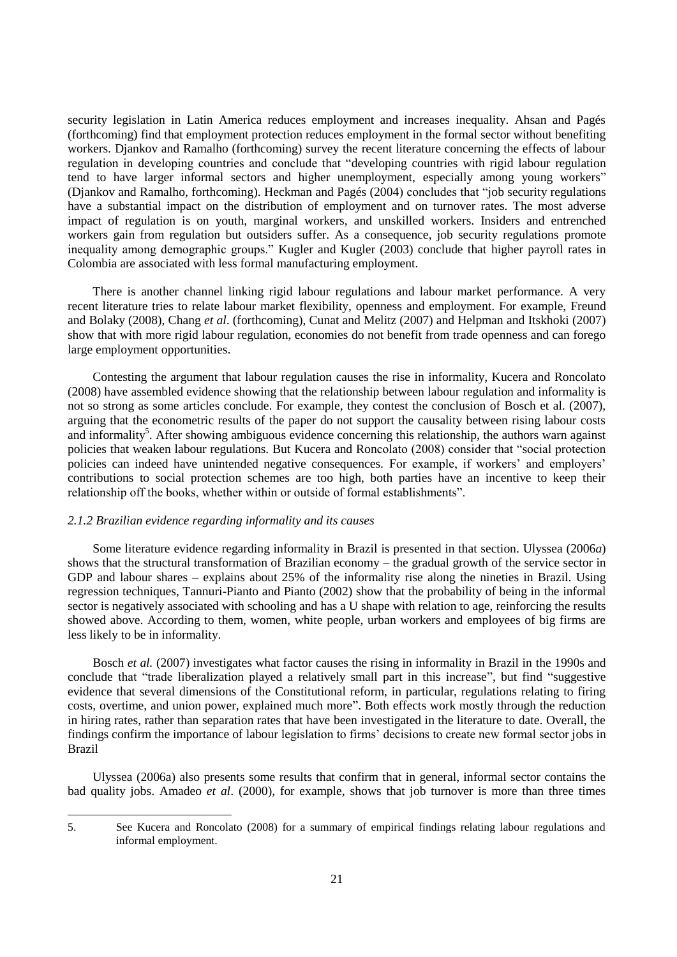security legislation in Latin America reduces employment and increases inequality. Ahsan and Pagés (forthcoming) find that employment protection reduces employment in the formal sector without benefiting workers. Djankov and Ramalho (forthcoming) survey the recent literature concerning the effects of labour regulation in developing countries and conclude that "developing countries with rigid labour regulation tend to have larger informal sectors and higher unemployment, especially among young workers" (Djankov and Ramalho, forthcoming). Heckman and Pagés (2004) concludes that "job security regulations have a substantial impact on the distribution of employment and on turnover rates. The most adverse impact of regulation is on youth, marginal workers, and unskilled workers. Insiders and entrenched workers gain from regulation but outsiders suffer. As a consequence, job security regulations promote inequality among demographic groups." Kugler and Kugler (2003) conclude that higher payroll rates in Colombia are associated with less formal manufacturing employment.

There is another channel linking rigid labour regulations and labour market performance. A very recent literature tries to relate labour market flexibility, openness and employment. For example, Freund and Bolaky (2008), Chang *et al*. (forthcoming), Cunat and Melitz (2007) and Helpman and Itskhoki (2007) show that with more rigid labour regulation, economies do not benefit from trade openness and can forego large employment opportunities.

Contesting the argument that labour regulation causes the rise in informality, Kucera and Roncolato (2008) have assembled evidence showing that the relationship between labour regulation and informality is not so strong as some articles conclude. For example, they contest the conclusion of Bosch et al. (2007), arguing that the econometric results of the paper do not support the causality between rising labour costs and informality<sup>5</sup>. After showing ambiguous evidence concerning this relationship, the authors warn against policies that weaken labour regulations. But Kucera and Roncolato (2008) consider that "social protection policies can indeed have unintended negative consequences. For example, if workers' and employers' contributions to social protection schemes are too high, both parties have an incentive to keep their relationship off the books, whether within or outside of formal establishments".

### *2.1.2 Brazilian evidence regarding informality and its causes*

l

Some literature evidence regarding informality in Brazil is presented in that section. Ulyssea (2006*a*) shows that the structural transformation of Brazilian economy – the gradual growth of the service sector in GDP and labour shares – explains about 25% of the informality rise along the nineties in Brazil. Using regression techniques, Tannuri-Pianto and Pianto (2002) show that the probability of being in the informal sector is negatively associated with schooling and has a U shape with relation to age, reinforcing the results showed above. According to them, women, white people, urban workers and employees of big firms are less likely to be in informality.

Bosch *et al.* (2007) investigates what factor causes the rising in informality in Brazil in the 1990s and conclude that "trade liberalization played a relatively small part in this increase", but find "suggestive evidence that several dimensions of the Constitutional reform, in particular, regulations relating to firing costs, overtime, and union power, explained much more". Both effects work mostly through the reduction in hiring rates, rather than separation rates that have been investigated in the literature to date. Overall, the findings confirm the importance of labour legislation to firms' decisions to create new formal sector jobs in Brazil

Ulyssea (2006a) also presents some results that confirm that in general, informal sector contains the bad quality jobs. Amadeo *et al*. (2000), for example, shows that job turnover is more than three times

<sup>5.</sup> See Kucera and Roncolato (2008) for a summary of empirical findings relating labour regulations and informal employment.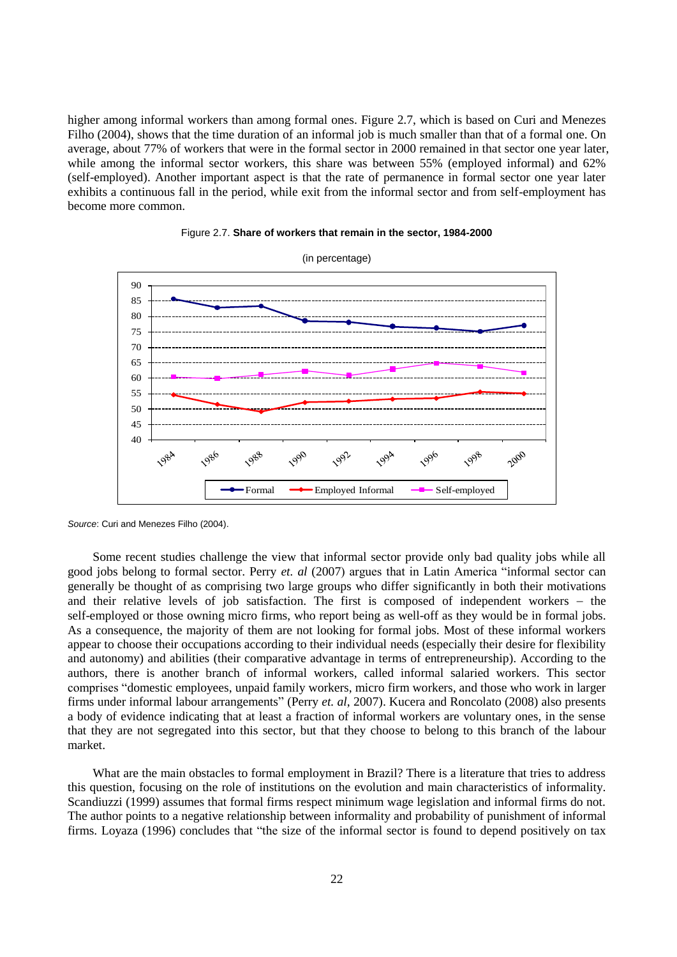higher among informal workers than among formal ones. Figure 2.7, which is based on Curi and Menezes Filho (2004), shows that the time duration of an informal job is much smaller than that of a formal one. On average, about 77% of workers that were in the formal sector in 2000 remained in that sector one year later, while among the informal sector workers, this share was between 55% (employed informal) and 62% (self-employed). Another important aspect is that the rate of permanence in formal sector one year later exhibits a continuous fall in the period, while exit from the informal sector and from self-employment has become more common.





*Source*: Curi and Menezes Filho (2004).

Some recent studies challenge the view that informal sector provide only bad quality jobs while all good jobs belong to formal sector. Perry *et. al* (2007) argues that in Latin America "informal sector can generally be thought of as comprising two large groups who differ significantly in both their motivations and their relative levels of job satisfaction. The first is composed of independent workers  $-$  the self-employed or those owning micro firms, who report being as well-off as they would be in formal jobs. As a consequence, the majority of them are not looking for formal jobs. Most of these informal workers appear to choose their occupations according to their individual needs (especially their desire for flexibility and autonomy) and abilities (their comparative advantage in terms of entrepreneurship). According to the authors, there is another branch of informal workers, called informal salaried workers. This sector comprises "domestic employees, unpaid family workers, micro firm workers, and those who work in larger firms under informal labour arrangements" (Perry *et. al*, 2007). Kucera and Roncolato (2008) also presents a body of evidence indicating that at least a fraction of informal workers are voluntary ones, in the sense that they are not segregated into this sector, but that they choose to belong to this branch of the labour market.

What are the main obstacles to formal employment in Brazil? There is a literature that tries to address this question, focusing on the role of institutions on the evolution and main characteristics of informality. Scandiuzzi (1999) assumes that formal firms respect minimum wage legislation and informal firms do not. The author points to a negative relationship between informality and probability of punishment of informal firms. Loyaza (1996) concludes that "the size of the informal sector is found to depend positively on tax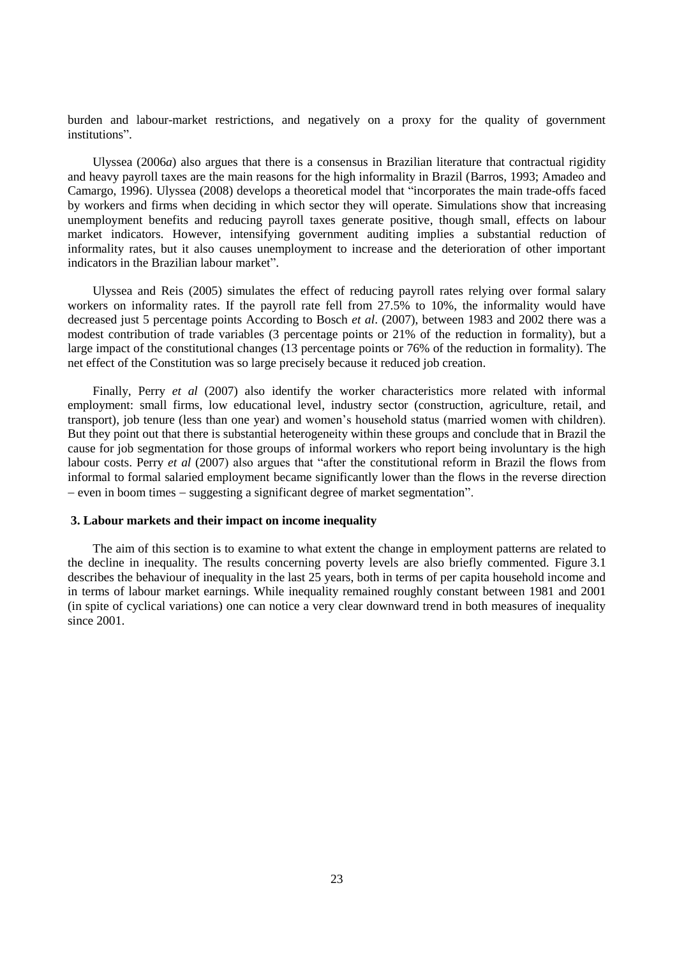burden and labour-market restrictions, and negatively on a proxy for the quality of government institutions".

Ulyssea (2006*a*) also argues that there is a consensus in Brazilian literature that contractual rigidity and heavy payroll taxes are the main reasons for the high informality in Brazil (Barros, 1993; Amadeo and Camargo, 1996). Ulyssea (2008) develops a theoretical model that "incorporates the main trade-offs faced by workers and firms when deciding in which sector they will operate. Simulations show that increasing unemployment benefits and reducing payroll taxes generate positive, though small, effects on labour market indicators. However, intensifying government auditing implies a substantial reduction of informality rates, but it also causes unemployment to increase and the deterioration of other important indicators in the Brazilian labour market".

Ulyssea and Reis (2005) simulates the effect of reducing payroll rates relying over formal salary workers on informality rates. If the payroll rate fell from 27.5% to 10%, the informality would have decreased just 5 percentage points According to Bosch *et al*. (2007), between 1983 and 2002 there was a modest contribution of trade variables (3 percentage points or 21% of the reduction in formality), but a large impact of the constitutional changes (13 percentage points or 76% of the reduction in formality). The net effect of the Constitution was so large precisely because it reduced job creation.

Finally, Perry *et al* (2007) also identify the worker characteristics more related with informal employment: small firms, low educational level, industry sector (construction, agriculture, retail, and transport), job tenure (less than one year) and women's household status (married women with children). But they point out that there is substantial heterogeneity within these groups and conclude that in Brazil the cause for job segmentation for those groups of informal workers who report being involuntary is the high labour costs. Perry *et al* (2007) also argues that "after the constitutional reform in Brazil the flows from informal to formal salaried employment became significantly lower than the flows in the reverse direction  $-$  even in boom times  $-$  suggesting a significant degree of market segmentation".

### **3. Labour markets and their impact on income inequality**

The aim of this section is to examine to what extent the change in employment patterns are related to the decline in inequality. The results concerning poverty levels are also briefly commented. Figure 3.1 describes the behaviour of inequality in the last 25 years, both in terms of per capita household income and in terms of labour market earnings. While inequality remained roughly constant between 1981 and 2001 (in spite of cyclical variations) one can notice a very clear downward trend in both measures of inequality since 2001.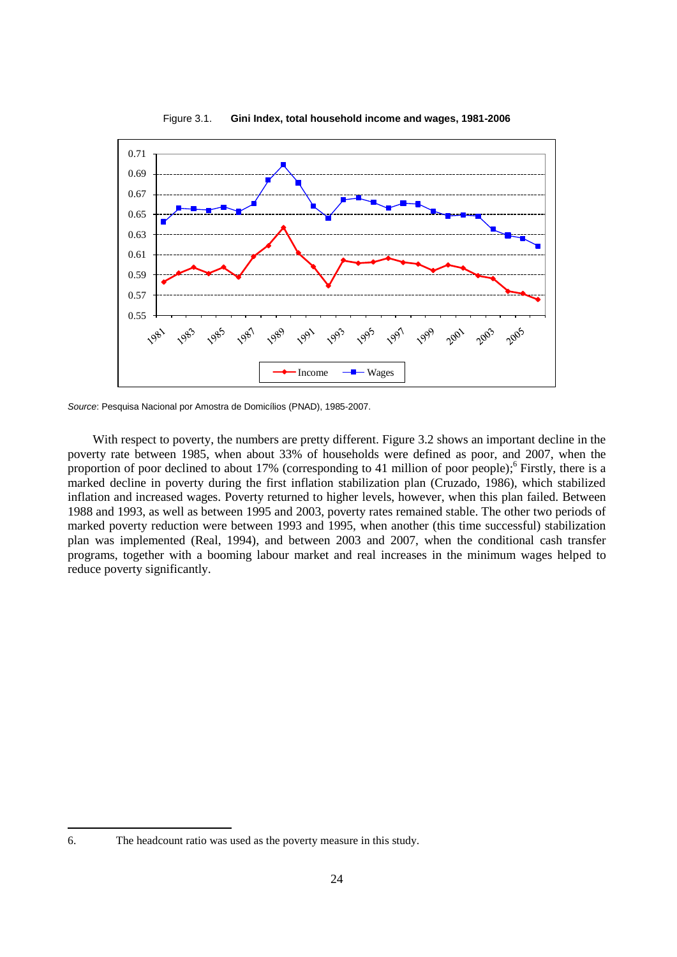

Figure 3.1. **Gini Index, total household income and wages, 1981-2006**

*Source*: Pesquisa Nacional por Amostra de Domicílios (PNAD), 1985-2007.

With respect to poverty, the numbers are pretty different. Figure 3.2 shows an important decline in the poverty rate between 1985, when about 33% of households were defined as poor, and 2007, when the proportion of poor declined to about 17% (corresponding to 41 million of poor people);<sup>6</sup> Firstly, there is a marked decline in poverty during the first inflation stabilization plan (Cruzado, 1986), which stabilized inflation and increased wages. Poverty returned to higher levels, however, when this plan failed. Between 1988 and 1993, as well as between 1995 and 2003, poverty rates remained stable. The other two periods of marked poverty reduction were between 1993 and 1995, when another (this time successful) stabilization plan was implemented (Real, 1994), and between 2003 and 2007, when the conditional cash transfer programs, together with a booming labour market and real increases in the minimum wages helped to reduce poverty significantly.

 $\overline{\phantom{a}}$ 

<sup>6.</sup> The headcount ratio was used as the poverty measure in this study.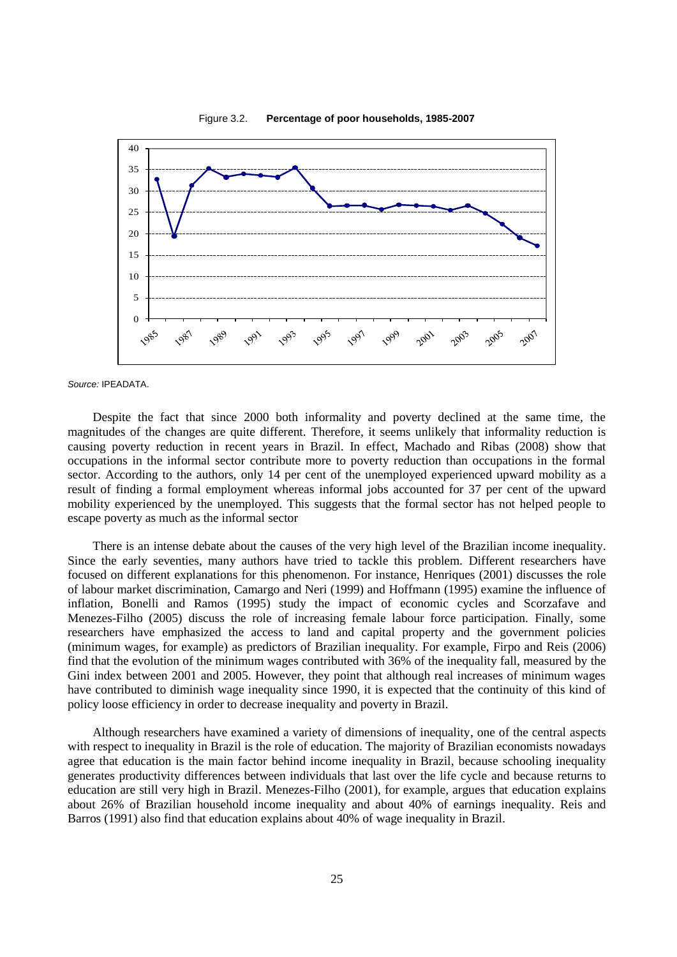

*Source:* IPEADATA.

Despite the fact that since 2000 both informality and poverty declined at the same time, the magnitudes of the changes are quite different. Therefore, it seems unlikely that informality reduction is causing poverty reduction in recent years in Brazil. In effect, Machado and Ribas (2008) show that occupations in the informal sector contribute more to poverty reduction than occupations in the formal sector. According to the authors, only 14 per cent of the unemployed experienced upward mobility as a result of finding a formal employment whereas informal jobs accounted for 37 per cent of the upward mobility experienced by the unemployed. This suggests that the formal sector has not helped people to escape poverty as much as the informal sector

There is an intense debate about the causes of the very high level of the Brazilian income inequality. Since the early seventies, many authors have tried to tackle this problem. Different researchers have focused on different explanations for this phenomenon. For instance, Henriques (2001) discusses the role of labour market discrimination, Camargo and Neri (1999) and Hoffmann (1995) examine the influence of inflation, Bonelli and Ramos (1995) study the impact of economic cycles and Scorzafave and Menezes-Filho (2005) discuss the role of increasing female labour force participation. Finally, some researchers have emphasized the access to land and capital property and the government policies (minimum wages, for example) as predictors of Brazilian inequality. For example, Firpo and Reis (2006) find that the evolution of the minimum wages contributed with 36% of the inequality fall, measured by the Gini index between 2001 and 2005. However, they point that although real increases of minimum wages have contributed to diminish wage inequality since 1990, it is expected that the continuity of this kind of policy loose efficiency in order to decrease inequality and poverty in Brazil.

Although researchers have examined a variety of dimensions of inequality, one of the central aspects with respect to inequality in Brazil is the role of education. The majority of Brazilian economists nowadays agree that education is the main factor behind income inequality in Brazil, because schooling inequality generates productivity differences between individuals that last over the life cycle and because returns to education are still very high in Brazil. Menezes-Filho (2001), for example, argues that education explains about 26% of Brazilian household income inequality and about 40% of earnings inequality. Reis and Barros (1991) also find that education explains about 40% of wage inequality in Brazil.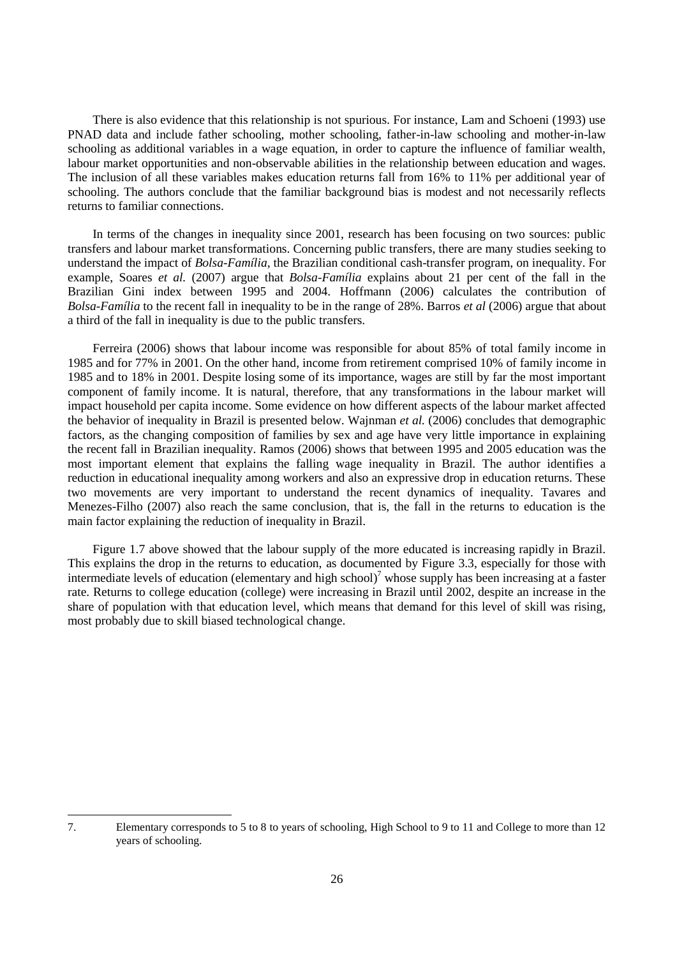There is also evidence that this relationship is not spurious. For instance, Lam and Schoeni (1993) use PNAD data and include father schooling, mother schooling, father-in-law schooling and mother-in-law schooling as additional variables in a wage equation, in order to capture the influence of familiar wealth, labour market opportunities and non-observable abilities in the relationship between education and wages. The inclusion of all these variables makes education returns fall from 16% to 11% per additional year of schooling. The authors conclude that the familiar background bias is modest and not necessarily reflects returns to familiar connections.

In terms of the changes in inequality since 2001, research has been focusing on two sources: public transfers and labour market transformations. Concerning public transfers, there are many studies seeking to understand the impact of *Bolsa-Família*, the Brazilian conditional cash-transfer program, on inequality. For example, Soares *et al.* (2007) argue that *Bolsa-Família* explains about 21 per cent of the fall in the Brazilian Gini index between 1995 and 2004. Hoffmann (2006) calculates the contribution of *Bolsa-Família* to the recent fall in inequality to be in the range of 28%. Barros *et al* (2006) argue that about a third of the fall in inequality is due to the public transfers.

Ferreira (2006) shows that labour income was responsible for about 85% of total family income in 1985 and for 77% in 2001. On the other hand, income from retirement comprised 10% of family income in 1985 and to 18% in 2001. Despite losing some of its importance, wages are still by far the most important component of family income. It is natural, therefore, that any transformations in the labour market will impact household per capita income. Some evidence on how different aspects of the labour market affected the behavior of inequality in Brazil is presented below. Wajnman *et al.* (2006) concludes that demographic factors, as the changing composition of families by sex and age have very little importance in explaining the recent fall in Brazilian inequality. Ramos (2006) shows that between 1995 and 2005 education was the most important element that explains the falling wage inequality in Brazil. The author identifies a reduction in educational inequality among workers and also an expressive drop in education returns. These two movements are very important to understand the recent dynamics of inequality. Tavares and Menezes-Filho (2007) also reach the same conclusion, that is, the fall in the returns to education is the main factor explaining the reduction of inequality in Brazil.

Figure 1.7 above showed that the labour supply of the more educated is increasing rapidly in Brazil. This explains the drop in the returns to education, as documented by Figure 3.3, especially for those with intermediate levels of education (elementary and high school) <sup>7</sup> whose supply has been increasing at a faster rate. Returns to college education (college) were increasing in Brazil until 2002, despite an increase in the share of population with that education level, which means that demand for this level of skill was rising, most probably due to skill biased technological change.

l

<sup>7.</sup> Elementary corresponds to 5 to 8 to years of schooling, High School to 9 to 11 and College to more than 12 years of schooling.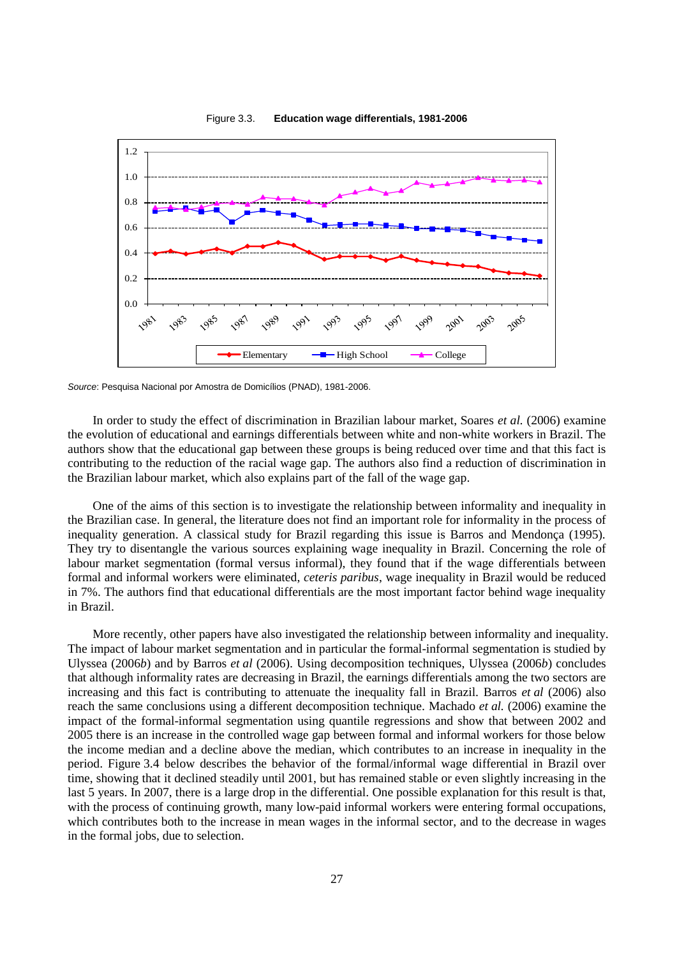

Figure 3.3. **Education wage differentials, 1981-2006**

*Source*: Pesquisa Nacional por Amostra de Domicílios (PNAD), 1981-2006.

In order to study the effect of discrimination in Brazilian labour market, Soares *et al.* (2006) examine the evolution of educational and earnings differentials between white and non-white workers in Brazil. The authors show that the educational gap between these groups is being reduced over time and that this fact is contributing to the reduction of the racial wage gap. The authors also find a reduction of discrimination in the Brazilian labour market, which also explains part of the fall of the wage gap.

One of the aims of this section is to investigate the relationship between informality and inequality in the Brazilian case. In general, the literature does not find an important role for informality in the process of inequality generation. A classical study for Brazil regarding this issue is Barros and Mendonça (1995). They try to disentangle the various sources explaining wage inequality in Brazil. Concerning the role of labour market segmentation (formal versus informal), they found that if the wage differentials between formal and informal workers were eliminated, *ceteris paribus*, wage inequality in Brazil would be reduced in 7%. The authors find that educational differentials are the most important factor behind wage inequality in Brazil.

More recently, other papers have also investigated the relationship between informality and inequality. The impact of labour market segmentation and in particular the formal-informal segmentation is studied by Ulyssea (2006*b*) and by Barros *et al* (2006). Using decomposition techniques, Ulyssea (2006*b*) concludes that although informality rates are decreasing in Brazil, the earnings differentials among the two sectors are increasing and this fact is contributing to attenuate the inequality fall in Brazil. Barros *et al* (2006) also reach the same conclusions using a different decomposition technique. Machado *et al.* (2006) examine the impact of the formal-informal segmentation using quantile regressions and show that between 2002 and 2005 there is an increase in the controlled wage gap between formal and informal workers for those below the income median and a decline above the median, which contributes to an increase in inequality in the period. Figure 3.4 below describes the behavior of the formal/informal wage differential in Brazil over time, showing that it declined steadily until 2001, but has remained stable or even slightly increasing in the last 5 years. In 2007, there is a large drop in the differential. One possible explanation for this result is that, with the process of continuing growth, many low-paid informal workers were entering formal occupations, which contributes both to the increase in mean wages in the informal sector, and to the decrease in wages in the formal jobs, due to selection.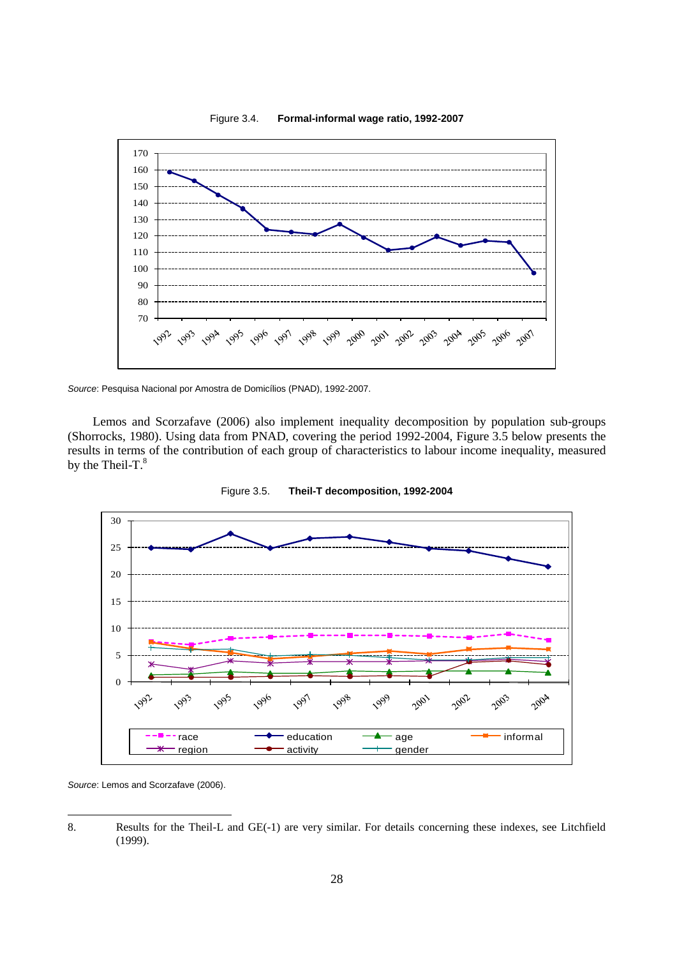

Figure 3.4. **Formal-informal wage ratio, 1992-2007**

*Source*: Pesquisa Nacional por Amostra de Domicílios (PNAD), 1992-2007.

Lemos and Scorzafave (2006) also implement inequality decomposition by population sub-groups (Shorrocks, 1980). Using data from PNAD, covering the period 1992-2004, Figure 3.5 below presents the results in terms of the contribution of each group of characteristics to labour income inequality, measured by the Theil-T. $8$ 





*Source*: Lemos and Scorzafave (2006).

l

<sup>8.</sup> Results for the Theil-L and GE(-1) are very similar. For details concerning these indexes, see Litchfield (1999).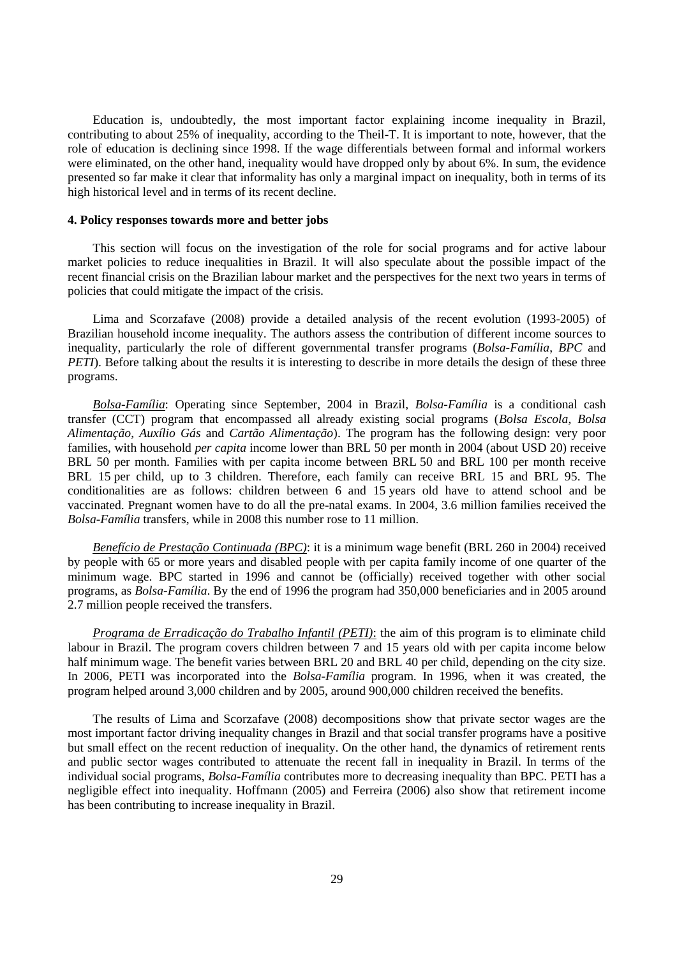Education is, undoubtedly, the most important factor explaining income inequality in Brazil, contributing to about 25% of inequality, according to the Theil-T. It is important to note, however, that the role of education is declining since 1998. If the wage differentials between formal and informal workers were eliminated, on the other hand, inequality would have dropped only by about 6%. In sum, the evidence presented so far make it clear that informality has only a marginal impact on inequality, both in terms of its high historical level and in terms of its recent decline.

### **4. Policy responses towards more and better jobs**

This section will focus on the investigation of the role for social programs and for active labour market policies to reduce inequalities in Brazil. It will also speculate about the possible impact of the recent financial crisis on the Brazilian labour market and the perspectives for the next two years in terms of policies that could mitigate the impact of the crisis.

Lima and Scorzafave (2008) provide a detailed analysis of the recent evolution (1993-2005) of Brazilian household income inequality. The authors assess the contribution of different income sources to inequality, particularly the role of different governmental transfer programs (*Bolsa-Família*, *BPC* and *PETI*). Before talking about the results it is interesting to describe in more details the design of these three programs.

*Bolsa-Família*: Operating since September, 2004 in Brazil, *Bolsa-Família* is a conditional cash transfer (CCT) program that encompassed all already existing social programs (*Bolsa Escola*, *Bolsa Alimentação*, *Auxílio Gás* and *Cartão Alimentação*). The program has the following design: very poor families, with household *per capita* income lower than BRL 50 per month in 2004 (about USD 20) receive BRL 50 per month. Families with per capita income between BRL 50 and BRL 100 per month receive BRL 15 per child, up to 3 children. Therefore, each family can receive BRL 15 and BRL 95. The conditionalities are as follows: children between 6 and 15 years old have to attend school and be vaccinated. Pregnant women have to do all the pre-natal exams. In 2004, 3.6 million families received the *Bolsa-Família* transfers, while in 2008 this number rose to 11 million.

*Benefício de Prestação Continuada (BPC)*: it is a minimum wage benefit (BRL 260 in 2004) received by people with 65 or more years and disabled people with per capita family income of one quarter of the minimum wage. BPC started in 1996 and cannot be (officially) received together with other social programs, as *Bolsa-Família*. By the end of 1996 the program had 350,000 beneficiaries and in 2005 around 2.7 million people received the transfers.

*Programa de Erradicação do Trabalho Infantil (PETI)*: the aim of this program is to eliminate child labour in Brazil. The program covers children between 7 and 15 years old with per capita income below half minimum wage. The benefit varies between BRL 20 and BRL 40 per child, depending on the city size. In 2006, PETI was incorporated into the *Bolsa-Família* program. In 1996, when it was created, the program helped around 3,000 children and by 2005, around 900,000 children received the benefits.

The results of Lima and Scorzafave (2008) decompositions show that private sector wages are the most important factor driving inequality changes in Brazil and that social transfer programs have a positive but small effect on the recent reduction of inequality. On the other hand, the dynamics of retirement rents and public sector wages contributed to attenuate the recent fall in inequality in Brazil. In terms of the individual social programs, *Bolsa-Família* contributes more to decreasing inequality than BPC. PETI has a negligible effect into inequality. Hoffmann (2005) and Ferreira (2006) also show that retirement income has been contributing to increase inequality in Brazil.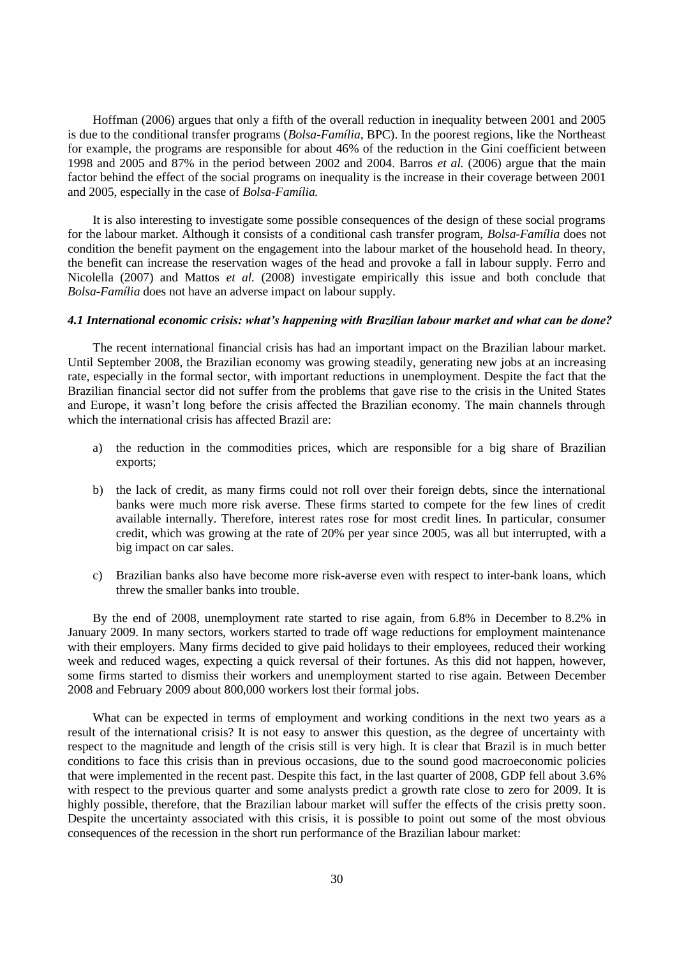Hoffman (2006) argues that only a fifth of the overall reduction in inequality between 2001 and 2005 is due to the conditional transfer programs (*Bolsa-Família*, BPC). In the poorest regions, like the Northeast for example, the programs are responsible for about 46% of the reduction in the Gini coefficient between 1998 and 2005 and 87% in the period between 2002 and 2004. Barros *et al.* (2006) argue that the main factor behind the effect of the social programs on inequality is the increase in their coverage between 2001 and 2005, especially in the case of *Bolsa-Família.*

It is also interesting to investigate some possible consequences of the design of these social programs for the labour market. Although it consists of a conditional cash transfer program, *Bolsa-Família* does not condition the benefit payment on the engagement into the labour market of the household head. In theory, the benefit can increase the reservation wages of the head and provoke a fall in labour supply. Ferro and Nicolella (2007) and Mattos *et al.* (2008) investigate empirically this issue and both conclude that *Bolsa-Família* does not have an adverse impact on labour supply.

#### *4.1 International economic crisis: what's happening with Brazilian labour market and what can be done?*

The recent international financial crisis has had an important impact on the Brazilian labour market. Until September 2008, the Brazilian economy was growing steadily, generating new jobs at an increasing rate, especially in the formal sector, with important reductions in unemployment. Despite the fact that the Brazilian financial sector did not suffer from the problems that gave rise to the crisis in the United States and Europe, it wasn't long before the crisis affected the Brazilian economy. The main channels through which the international crisis has affected Brazil are:

- a) the reduction in the commodities prices, which are responsible for a big share of Brazilian exports;
- b) the lack of credit, as many firms could not roll over their foreign debts, since the international banks were much more risk averse. These firms started to compete for the few lines of credit available internally. Therefore, interest rates rose for most credit lines. In particular, consumer credit, which was growing at the rate of 20% per year since 2005, was all but interrupted, with a big impact on car sales.
- c) Brazilian banks also have become more risk-averse even with respect to inter-bank loans, which threw the smaller banks into trouble.

By the end of 2008, unemployment rate started to rise again, from 6.8% in December to 8.2% in January 2009. In many sectors, workers started to trade off wage reductions for employment maintenance with their employers. Many firms decided to give paid holidays to their employees, reduced their working week and reduced wages, expecting a quick reversal of their fortunes. As this did not happen, however, some firms started to dismiss their workers and unemployment started to rise again. Between December 2008 and February 2009 about 800,000 workers lost their formal jobs.

What can be expected in terms of employment and working conditions in the next two years as a result of the international crisis? It is not easy to answer this question, as the degree of uncertainty with respect to the magnitude and length of the crisis still is very high. It is clear that Brazil is in much better conditions to face this crisis than in previous occasions, due to the sound good macroeconomic policies that were implemented in the recent past. Despite this fact, in the last quarter of 2008, GDP fell about 3.6% with respect to the previous quarter and some analysts predict a growth rate close to zero for 2009. It is highly possible, therefore, that the Brazilian labour market will suffer the effects of the crisis pretty soon. Despite the uncertainty associated with this crisis, it is possible to point out some of the most obvious consequences of the recession in the short run performance of the Brazilian labour market: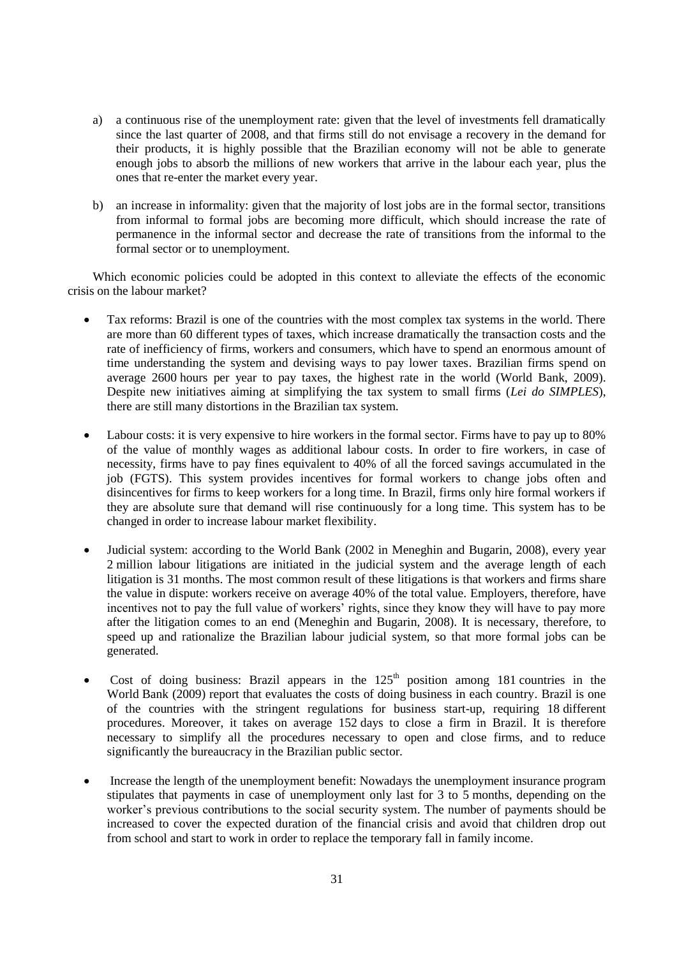- a) a continuous rise of the unemployment rate: given that the level of investments fell dramatically since the last quarter of 2008, and that firms still do not envisage a recovery in the demand for their products, it is highly possible that the Brazilian economy will not be able to generate enough jobs to absorb the millions of new workers that arrive in the labour each year, plus the ones that re-enter the market every year.
- b) an increase in informality: given that the majority of lost jobs are in the formal sector, transitions from informal to formal jobs are becoming more difficult, which should increase the rate of permanence in the informal sector and decrease the rate of transitions from the informal to the formal sector or to unemployment.

Which economic policies could be adopted in this context to alleviate the effects of the economic crisis on the labour market?

- Tax reforms: Brazil is one of the countries with the most complex tax systems in the world. There are more than 60 different types of taxes, which increase dramatically the transaction costs and the rate of inefficiency of firms, workers and consumers, which have to spend an enormous amount of time understanding the system and devising ways to pay lower taxes. Brazilian firms spend on average 2600 hours per year to pay taxes, the highest rate in the world (World Bank, 2009). Despite new initiatives aiming at simplifying the tax system to small firms (*Lei do SIMPLES*), there are still many distortions in the Brazilian tax system.
- Labour costs: it is very expensive to hire workers in the formal sector. Firms have to pay up to 80% of the value of monthly wages as additional labour costs. In order to fire workers, in case of necessity, firms have to pay fines equivalent to 40% of all the forced savings accumulated in the job (FGTS). This system provides incentives for formal workers to change jobs often and disincentives for firms to keep workers for a long time. In Brazil, firms only hire formal workers if they are absolute sure that demand will rise continuously for a long time. This system has to be changed in order to increase labour market flexibility.
- Judicial system: according to the World Bank (2002 in Meneghin and Bugarin, 2008), every year 2 million labour litigations are initiated in the judicial system and the average length of each litigation is 31 months. The most common result of these litigations is that workers and firms share the value in dispute: workers receive on average 40% of the total value. Employers, therefore, have incentives not to pay the full value of workers' rights, since they know they will have to pay more after the litigation comes to an end (Meneghin and Bugarin, 2008). It is necessary, therefore, to speed up and rationalize the Brazilian labour judicial system, so that more formal jobs can be generated.
- Cost of doing business: Brazil appears in the  $125<sup>th</sup>$  position among 181 countries in the World Bank (2009) report that evaluates the costs of doing business in each country. Brazil is one of the countries with the stringent regulations for business start-up, requiring 18 different procedures. Moreover, it takes on average 152 days to close a firm in Brazil. It is therefore necessary to simplify all the procedures necessary to open and close firms, and to reduce significantly the bureaucracy in the Brazilian public sector.
- Increase the length of the unemployment benefit: Nowadays the unemployment insurance program stipulates that payments in case of unemployment only last for 3 to 5 months, depending on the worker's previous contributions to the social security system. The number of payments should be increased to cover the expected duration of the financial crisis and avoid that children drop out from school and start to work in order to replace the temporary fall in family income.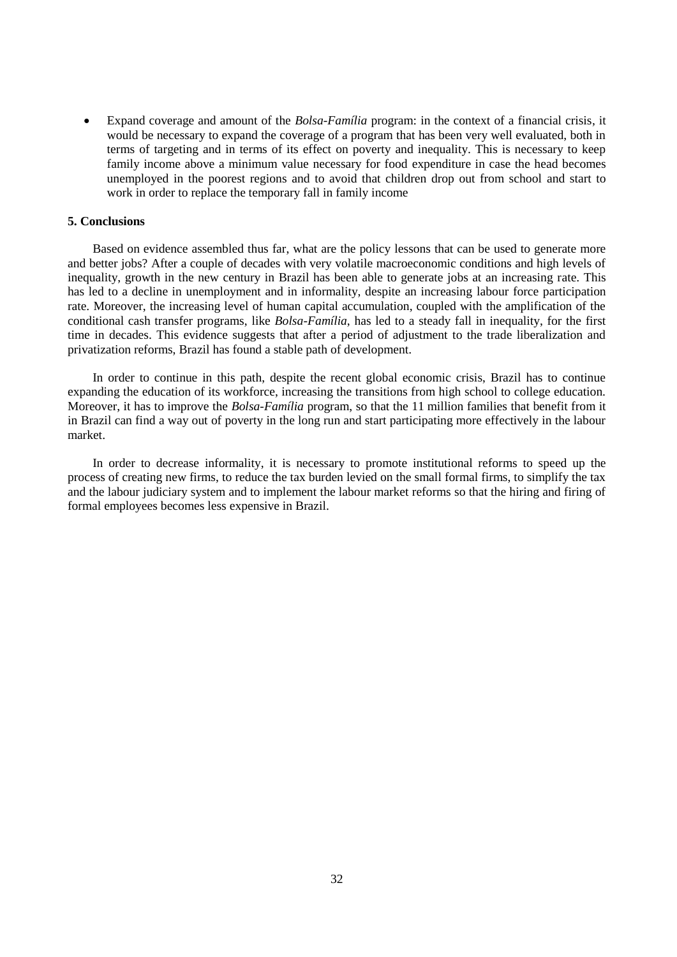Expand coverage and amount of the *Bolsa-Família* program: in the context of a financial crisis, it would be necessary to expand the coverage of a program that has been very well evaluated, both in terms of targeting and in terms of its effect on poverty and inequality. This is necessary to keep family income above a minimum value necessary for food expenditure in case the head becomes unemployed in the poorest regions and to avoid that children drop out from school and start to work in order to replace the temporary fall in family income

## **5. Conclusions**

Based on evidence assembled thus far, what are the policy lessons that can be used to generate more and better jobs? After a couple of decades with very volatile macroeconomic conditions and high levels of inequality, growth in the new century in Brazil has been able to generate jobs at an increasing rate. This has led to a decline in unemployment and in informality, despite an increasing labour force participation rate. Moreover, the increasing level of human capital accumulation, coupled with the amplification of the conditional cash transfer programs, like *Bolsa-Família*, has led to a steady fall in inequality, for the first time in decades. This evidence suggests that after a period of adjustment to the trade liberalization and privatization reforms, Brazil has found a stable path of development.

In order to continue in this path, despite the recent global economic crisis, Brazil has to continue expanding the education of its workforce, increasing the transitions from high school to college education. Moreover, it has to improve the *Bolsa-Família* program, so that the 11 million families that benefit from it in Brazil can find a way out of poverty in the long run and start participating more effectively in the labour market.

In order to decrease informality, it is necessary to promote institutional reforms to speed up the process of creating new firms, to reduce the tax burden levied on the small formal firms, to simplify the tax and the labour judiciary system and to implement the labour market reforms so that the hiring and firing of formal employees becomes less expensive in Brazil.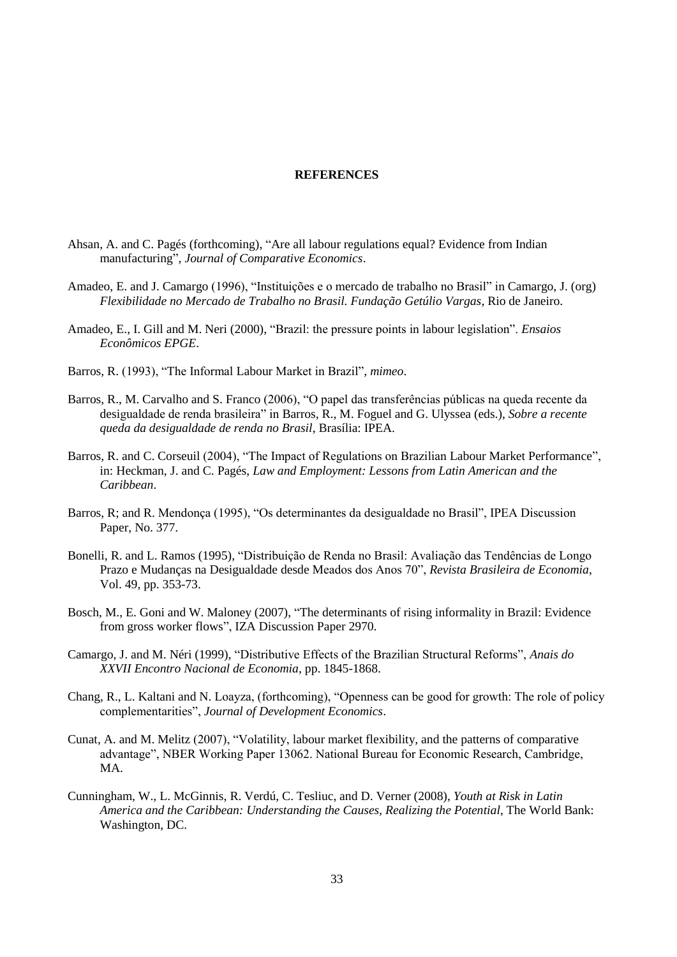#### **REFERENCES**

- Ahsan, A. and C. Pagés (forthcoming), "Are all labour regulations equal? Evidence from Indian manufacturing", *Journal of Comparative Economics*.
- Amadeo, E. and J. Camargo (1996), "Instituições e o mercado de trabalho no Brasil" in Camargo, J. (org) *Flexibilidade no Mercado de Trabalho no Brasil. Fundação Getúlio Vargas*, Rio de Janeiro.
- Amadeo, E., I. Gill and M. Neri (2000), "Brazil: the pressure points in labour legislation". *Ensaios Econômicos EPGE*.
- Barros, R. (1993), "The Informal Labour Market in Brazil", *mimeo*.
- Barros, R., M. Carvalho and S. Franco (2006), "O papel das transferências públicas na queda recente da desigualdade de renda brasileira" in Barros, R., M. Foguel and G. Ulyssea (eds.), *Sobre a recente queda da desigualdade de renda no Brasil*, Brasília: IPEA.
- Barros, R. and C. Corseuil (2004), "The Impact of Regulations on Brazilian Labour Market Performance", in: Heckman, J. and C. Pagés, *Law and Employment: Lessons from Latin American and the Caribbean*.
- Barros, R; and R. Mendonça (1995), "Os determinantes da desigualdade no Brasil", IPEA Discussion Paper, No. 377.
- Bonelli, R. and L. Ramos (1995), "Distribuição de Renda no Brasil: Avaliação das Tendências de Longo Prazo e Mudanças na Desigualdade desde Meados dos Anos 70", *Revista Brasileira de Economia*, Vol. 49, pp. 353-73.
- Bosch, M., E. Goni and W. Maloney (2007), "The determinants of rising informality in Brazil: Evidence from gross worker flows", IZA Discussion Paper 2970.
- Camargo, J. and M. Néri (1999), "Distributive Effects of the Brazilian Structural Reforms", *Anais do XXVII Encontro Nacional de Economia*, pp. 1845-1868.
- Chang, R., L. Kaltani and N. Loayza, (forthcoming), "Openness can be good for growth: The role of policy complementarities", *Journal of Development Economics*.
- Cunat, A. and M. Melitz (2007), "Volatility, labour market flexibility, and the patterns of comparative advantage", NBER Working Paper 13062. National Bureau for Economic Research, Cambridge, MA.
- Cunningham, W., L. McGinnis, R. Verdú, C. Tesliuc, and D. Verner (2008), *Youth at Risk in Latin America and the Caribbean: Understanding the Causes, Realizing the Potential*, The World Bank: Washington, DC.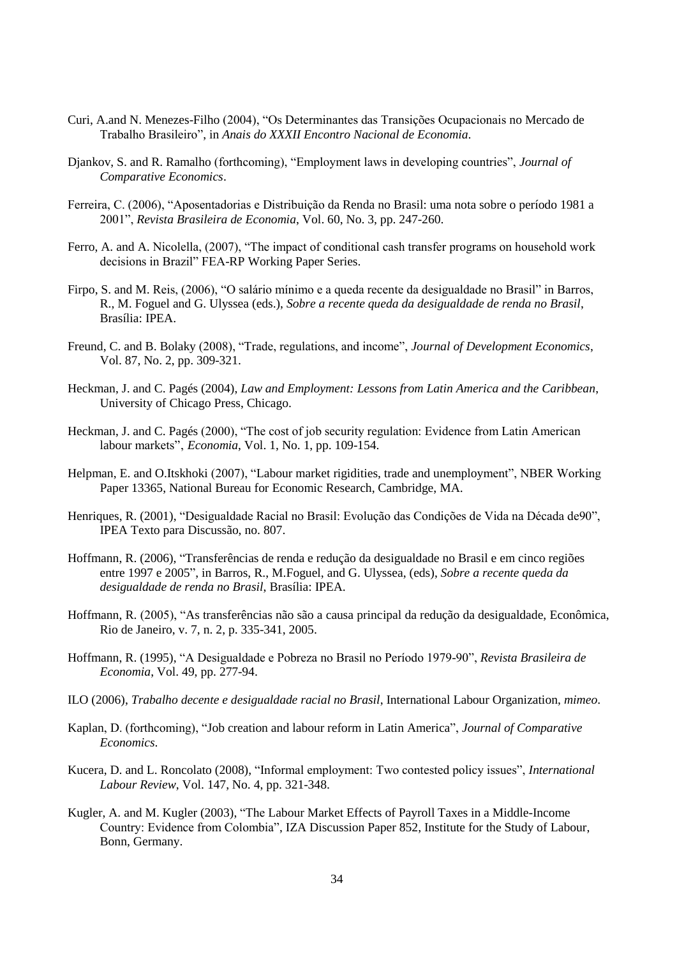- Curi, A.and N. Menezes-Filho (2004), "Os Determinantes das Transições Ocupacionais no Mercado de Trabalho Brasileiro", in *Anais do XXXII Encontro Nacional de Economia*.
- Djankov, S. and R. Ramalho (forthcoming), "Employment laws in developing countries", *Journal of Comparative Economics*.
- Ferreira, C. (2006), "Aposentadorias e Distribuição da Renda no Brasil: uma nota sobre o período 1981 a 2001", *Revista Brasileira de Economia*, Vol. 60, No. 3, pp. 247-260.
- Ferro, A. and A. Nicolella, (2007), "The impact of conditional cash transfer programs on household work decisions in Brazil" FEA-RP Working Paper Series.
- Firpo, S. and M. Reis, (2006), "O salário mínimo e a queda recente da desigualdade no Brasil" in Barros, R., M. Foguel and G. Ulyssea (eds.), *Sobre a recente queda da desigualdade de renda no Brasil*, Brasília: IPEA.
- Freund, C. and B. Bolaky (2008), "Trade, regulations, and income", *Journal of Development Economics*, Vol. 87, No. 2, pp. 309-321.
- Heckman, J. and C. Pagés (2004), *Law and Employment: Lessons from Latin America and the Caribbean*, University of Chicago Press, Chicago.
- Heckman, J. and C. Pagés (2000), "The cost of job security regulation: Evidence from Latin American labour markets", *Economia*, Vol. 1, No. 1, pp. 109-154.
- Helpman, E. and O.Itskhoki (2007), "Labour market rigidities, trade and unemployment", NBER Working Paper 13365, National Bureau for Economic Research, Cambridge, MA.
- Henriques, R. (2001), "Desigualdade Racial no Brasil: Evolução das Condições de Vida na Década de90", IPEA Texto para Discussão, no. 807.
- Hoffmann, R. (2006), "Transferências de renda e redução da desigualdade no Brasil e em cinco regiões entre 1997 e 2005", in Barros, R., M.Foguel, and G. Ulyssea, (eds), *Sobre a recente queda da desigualdade de renda no Brasil*, Brasília: IPEA.
- Hoffmann, R. (2005), "As transferências não são a causa principal da redução da desigualdade, Econômica, Rio de Janeiro, v. 7, n. 2, p. 335-341, 2005.
- Hoffmann, R. (1995), "A Desigualdade e Pobreza no Brasil no Período 1979-90", *Revista Brasileira de Economia*, Vol. 49, pp. 277-94.
- ILO (2006), *Trabalho decente e desigualdade racial no Brasil*, International Labour Organization, *mimeo*.
- Kaplan, D. (forthcoming), "Job creation and labour reform in Latin America", *Journal of Comparative Economics*.
- Kucera, D. and L. Roncolato (2008), "Informal employment: Two contested policy issues", *International Labour Review*, Vol. 147, No. 4, pp. 321-348.
- Kugler, A. and M. Kugler (2003), "The Labour Market Effects of Payroll Taxes in a Middle-Income Country: Evidence from Colombia", IZA Discussion Paper 852, Institute for the Study of Labour, Bonn, Germany.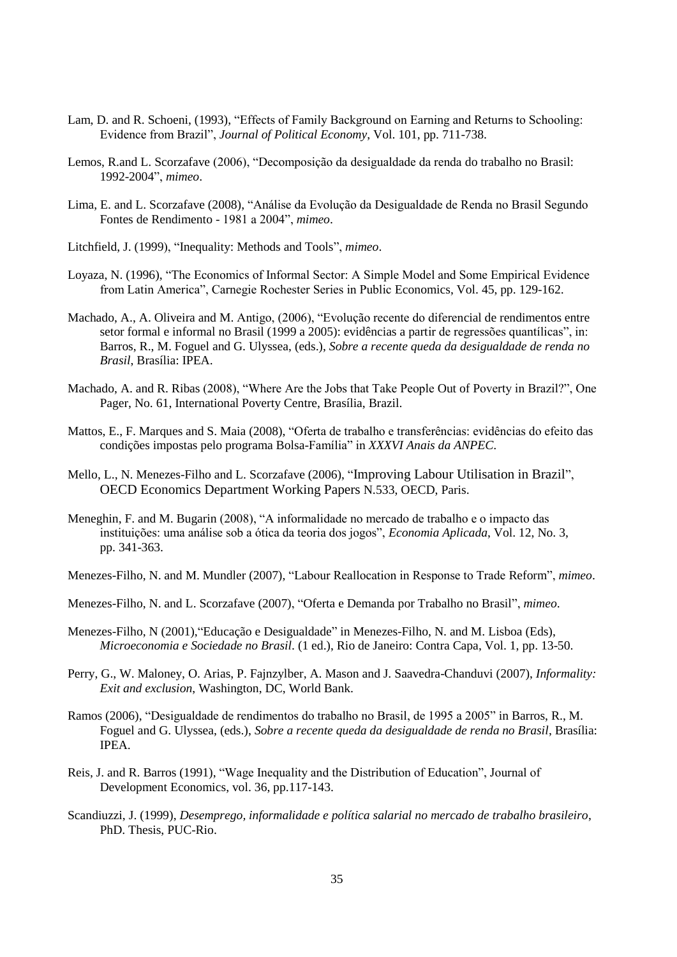- Lam, D. and R. Schoeni, (1993), "Effects of Family Background on Earning and Returns to Schooling: Evidence from Brazil", *Journal of Political Economy*, Vol. 101, pp. 711-738.
- Lemos, R.and L. Scorzafave (2006), "Decomposição da desigualdade da renda do trabalho no Brasil: 1992-2004", *mimeo*.
- Lima, E. and L. Scorzafave (2008), "Análise da Evolução da Desigualdade de Renda no Brasil Segundo Fontes de Rendimento - 1981 a 2004", *mimeo*.
- Litchfield, J. (1999), "Inequality: Methods and Tools", *mimeo*.
- Loyaza, N. (1996), "The Economics of Informal Sector: A Simple Model and Some Empirical Evidence from Latin America", Carnegie Rochester Series in Public Economics, Vol. 45, pp. 129-162.
- Machado, A., A. Oliveira and M. Antigo, (2006), "Evolução recente do diferencial de rendimentos entre setor formal e informal no Brasil (1999 a 2005): evidências a partir de regressões quantílicas", in: Barros, R., M. Foguel and G. Ulyssea, (eds.), *Sobre a recente queda da desigualdade de renda no Brasil*, Brasília: IPEA.
- Machado, A. and R. Ribas (2008), "Where Are the Jobs that Take People Out of Poverty in Brazil?", One Pager, No. 61, International Poverty Centre, Brasília, Brazil.
- Mattos, E., F. Marques and S. Maia (2008), "Oferta de trabalho e transferências: evidências do efeito das condições impostas pelo programa Bolsa-Família" in *XXXVI Anais da ANPEC*.
- Mello, L., N. Menezes-Filho and L. Scorzafave (2006), "[Improving Labour Utilisation in Brazil](http://webmail.isp.edu.br/exchweb/bin/redir.asp?URL=http://ideas.repec.org/p/oec/ecoaaa/533-en.html)", [OECD Economics Department Working Papers](http://webmail.isp.edu.br/exchweb/bin/redir.asp?URL=http://ideas.repec.org/s/oec/ecoaaa.html) N.533, OECD, Paris.
- Meneghin, F. and M. Bugarin (2008), "A informalidade no mercado de trabalho e o impacto das instituições: uma análise sob a ótica da teoria dos jogos", *Economia Aplicada*, Vol. 12, No. 3, pp. 341-363.
- Menezes-Filho, N. and M. Mundler (2007), "Labour Reallocation in Response to Trade Reform", *mimeo*.
- Menezes-Filho, N. and L. Scorzafave (2007), "Oferta e Demanda por Trabalho no Brasil", *mimeo*.
- Menezes-Filho, N (2001),"Educação e Desigualdade" in Menezes-Filho, N. and M. Lisboa (Eds), *Microeconomia e Sociedade no Brasil*. (1 ed.), Rio de Janeiro: Contra Capa, Vol. 1, pp. 13-50.
- Perry, G., W. Maloney, O. Arias, P. Fajnzylber, A. Mason and J. Saavedra-Chanduvi (2007), *Informality: Exit and exclusion*, Washington, DC, World Bank.
- Ramos (2006), "Desigualdade de rendimentos do trabalho no Brasil, de 1995 a 2005" in Barros, R., M. Foguel and G. Ulyssea, (eds.), *Sobre a recente queda da desigualdade de renda no Brasil*, Brasília: IPEA.
- Reis, J. and R. Barros (1991), "Wage Inequality and the Distribution of Education", Journal of Development Economics, vol. 36, pp.117-143.
- Scandiuzzi, J. (1999), *Desemprego, informalidade e política salarial no mercado de trabalho brasileiro*, PhD. Thesis, PUC-Rio.